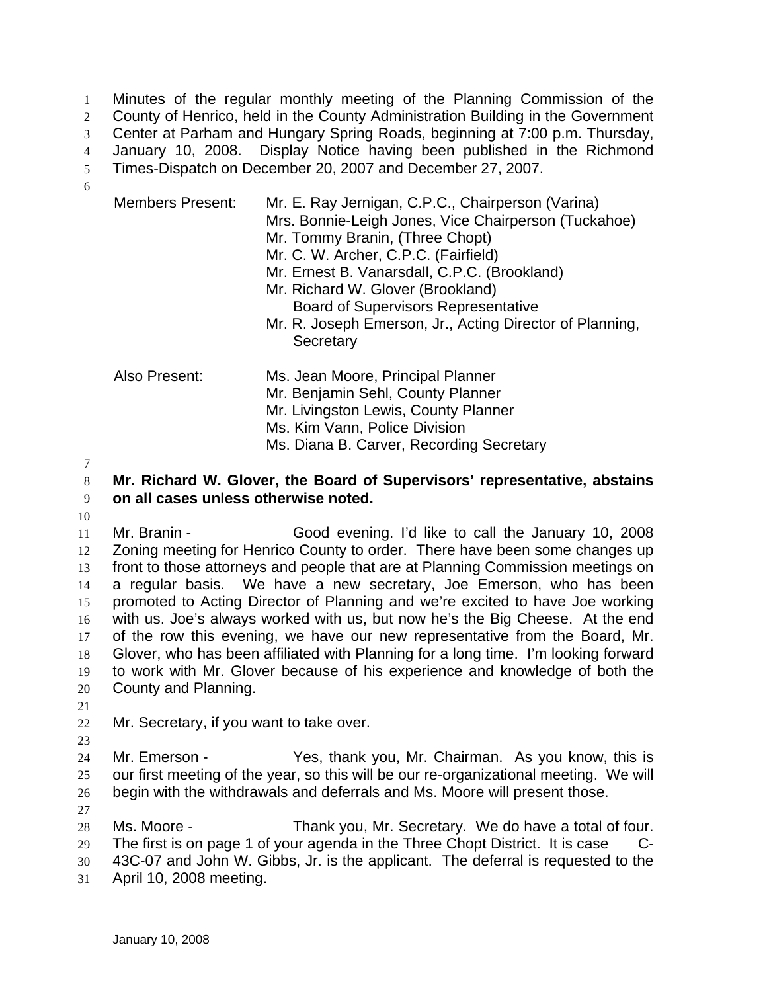Minutes of the regular monthly meeting of the Planning Commission of the County of Henrico, held in the County Administration Building in the Government Center at Parham and Hungary Spring Roads, beginning at 7:00 p.m. Thursday, January 10, 2008. Display Notice having been published in the Richmond Times-Dispatch on December 20, 2007 and December 27, 2007. 1  $\mathcal{L}$ 3 4 5 6

| <b>Members Present:</b> | Mr. E. Ray Jernigan, C.P.C., Chairperson (Varina)<br>Mrs. Bonnie-Leigh Jones, Vice Chairperson (Tuckahoe)<br>Mr. Tommy Branin, (Three Chopt)<br>Mr. C. W. Archer, C.P.C. (Fairfield)<br>Mr. Ernest B. Vanarsdall, C.P.C. (Brookland)<br>Mr. Richard W. Glover (Brookland)<br><b>Board of Supervisors Representative</b><br>Mr. R. Joseph Emerson, Jr., Acting Director of Planning,<br>Secretary |
|-------------------------|--------------------------------------------------------------------------------------------------------------------------------------------------------------------------------------------------------------------------------------------------------------------------------------------------------------------------------------------------------------------------------------------------|
| Also Present:           | Ms. Jean Moore, Principal Planner<br>Mr. Benjamin Sehl, County Planner<br>Mr. Livingston Lewis, County Planner<br>Ms. Kim Vann, Police Division<br>Ms. Diana B. Carver, Recording Secretary                                                                                                                                                                                                      |

7

## 8 9 **Mr. Richard W. Glover, the Board of Supervisors' representative, abstains on all cases unless otherwise noted.**

10 11 12 13 14 15 16 17 18 19 Mr. Branin - Good evening. I'd like to call the January 10, 2008 Zoning meeting for Henrico County to order. There have been some changes up front to those attorneys and people that are at Planning Commission meetings on a regular basis. We have a new secretary, Joe Emerson, who has been promoted to Acting Director of Planning and we're excited to have Joe working with us. Joe's always worked with us, but now he's the Big Cheese. At the end of the row this evening, we have our new representative from the Board, Mr. Glover, who has been affiliated with Planning for a long time. I'm looking forward to work with Mr. Glover because of his experience and knowledge of both the

- 20 County and Planning.
- 21

23

22 Mr. Secretary, if you want to take over.

24 25 26 Mr. Emerson - Yes, thank you, Mr. Chairman. As you know, this is our first meeting of the year, so this will be our re-organizational meeting. We will begin with the withdrawals and deferrals and Ms. Moore will present those.

27

28 29 30 Ms. Moore - Thank you, Mr. Secretary. We do have a total of four. The first is on page 1 of your agenda in the Three Chopt District. It is case C-43C-07 and John W. Gibbs, Jr. is the applicant. The deferral is requested to the

31 April 10, 2008 meeting.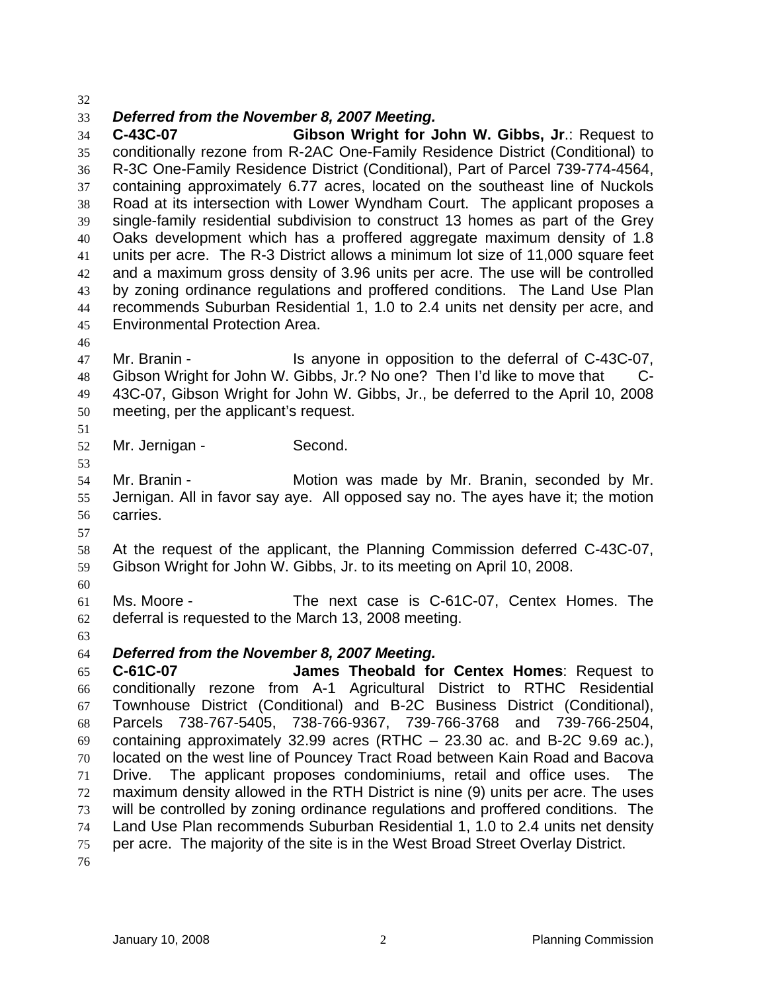32

## 33 *Deferred from the November 8, 2007 Meeting.*

34 35 36 37 38 39 40 41 42 43 44 45 **C-43C-07 Gibson Wright for John W. Gibbs, Jr**.: Request to conditionally rezone from R-2AC One-Family Residence District (Conditional) to R-3C One-Family Residence District (Conditional), Part of Parcel 739-774-4564, containing approximately 6.77 acres, located on the southeast line of Nuckols Road at its intersection with Lower Wyndham Court. The applicant proposes a single-family residential subdivision to construct 13 homes as part of the Grey Oaks development which has a proffered aggregate maximum density of 1.8 units per acre. The R-3 District allows a minimum lot size of 11,000 square feet and a maximum gross density of 3.96 units per acre. The use will be controlled by zoning ordinance regulations and proffered conditions. The Land Use Plan recommends Suburban Residential 1, 1.0 to 2.4 units net density per acre, and Environmental Protection Area.

46

47 48 49 50 Mr. Branin - Is anyone in opposition to the deferral of C-43C-07, Gibson Wright for John W. Gibbs, Jr.? No one? Then I'd like to move that C-43C-07, Gibson Wright for John W. Gibbs, Jr., be deferred to the April 10, 2008 meeting, per the applicant's request.

51 52 Mr. Jernigan - Second.

54 55 56 Mr. Branin - Motion was made by Mr. Branin, seconded by Mr. Jernigan. All in favor say aye. All opposed say no. The ayes have it; the motion carries.

57

53

58 59 At the request of the applicant, the Planning Commission deferred C-43C-07, Gibson Wright for John W. Gibbs, Jr. to its meeting on April 10, 2008.

60

61 62 Ms. Moore - The next case is C-61C-07, Centex Homes. The deferral is requested to the March 13, 2008 meeting.

63

64 *Deferred from the November 8, 2007 Meeting.* 

65 66 67 68 69 70 71 72 73 74 75 76 **C-61C-07 James Theobald for Centex Homes**: Request to conditionally rezone from A-1 Agricultural District to RTHC Residential Townhouse District (Conditional) and B-2C Business District (Conditional), Parcels 738-767-5405, 738-766-9367, 739-766-3768 and 739-766-2504, containing approximately 32.99 acres (RTHC – 23.30 ac. and B-2C 9.69 ac.), located on the west line of Pouncey Tract Road between Kain Road and Bacova Drive. The applicant proposes condominiums, retail and office uses. The maximum density allowed in the RTH District is nine (9) units per acre. The uses will be controlled by zoning ordinance regulations and proffered conditions. The Land Use Plan recommends Suburban Residential 1, 1.0 to 2.4 units net density per acre. The majority of the site is in the West Broad Street Overlay District.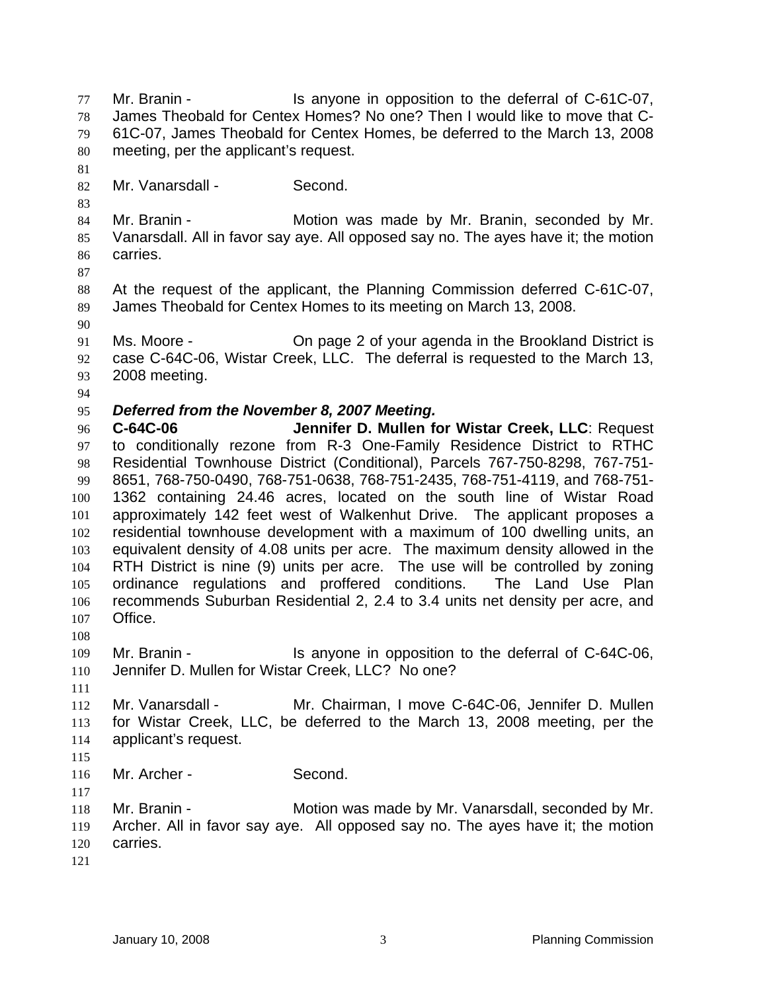Mr. Branin - The Is anyone in opposition to the deferral of C-61C-07, James Theobald for Centex Homes? No one? Then I would like to move that C-61C-07, James Theobald for Centex Homes, be deferred to the March 13, 2008 meeting, per the applicant's request. 77 78 79 80 81 82 83 84 85 86 87 88 89 90 91 92 93 94 95 96 97 98 99 100 101 102 103 104 105 106 107 108 109 110 111 112 113 114 115 116 117 118 119 120 121 Mr. Vanarsdall - Second. Mr. Branin - **Motion was made by Mr. Branin, seconded by Mr.** Vanarsdall. All in favor say aye. All opposed say no. The ayes have it; the motion carries. At the request of the applicant, the Planning Commission deferred C-61C-07, James Theobald for Centex Homes to its meeting on March 13, 2008. Ms. Moore - Chipage 2 of your agenda in the Brookland District is case C-64C-06, Wistar Creek, LLC. The deferral is requested to the March 13, 2008 meeting. *Deferred from the November 8, 2007 Meeting.*  **C-64C-06 Jennifer D. Mullen for Wistar Creek, LLC**: Request to conditionally rezone from R-3 One-Family Residence District to RTHC Residential Townhouse District (Conditional), Parcels 767-750-8298, 767-751- 8651, 768-750-0490, 768-751-0638, 768-751-2435, 768-751-4119, and 768-751- 1362 containing 24.46 acres, located on the south line of Wistar Road approximately 142 feet west of Walkenhut Drive. The applicant proposes a residential townhouse development with a maximum of 100 dwelling units, an equivalent density of 4.08 units per acre. The maximum density allowed in the RTH District is nine (9) units per acre. The use will be controlled by zoning ordinance regulations and proffered conditions. The Land Use Plan recommends Suburban Residential 2, 2.4 to 3.4 units net density per acre, and Office. Mr. Branin - Is anyone in opposition to the deferral of C-64C-06, Jennifer D. Mullen for Wistar Creek, LLC? No one? Mr. Vanarsdall - Mr. Chairman, I move C-64C-06, Jennifer D. Mullen for Wistar Creek, LLC, be deferred to the March 13, 2008 meeting, per the applicant's request. Mr. Archer - Second. Mr. Branin - Motion was made by Mr. Vanarsdall, seconded by Mr. Archer. All in favor say aye. All opposed say no. The ayes have it; the motion carries.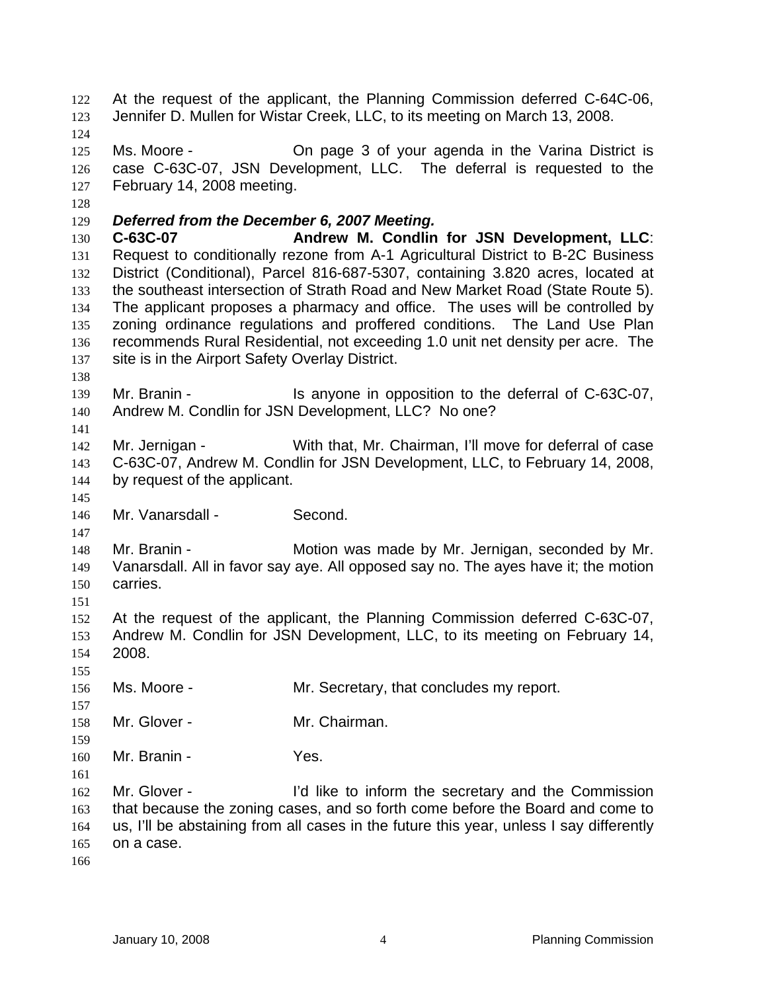At the request of the applicant, the Planning Commission deferred C-64C-06, Jennifer D. Mullen for Wistar Creek, LLC, to its meeting on March 13, 2008. 122 123 124 125 126 127 128 129 130 131 132 133 134 135 136 137 138 139 140 141 142 143 144 145 146 147 148 149 150 151 152 153 154 155 156 157 158 159 160 161 162 163 164 165 166 Ms. Moore - On page 3 of your agenda in the Varina District is case C-63C-07, JSN Development, LLC. The deferral is requested to the February 14, 2008 meeting. *Deferred from the December 6, 2007 Meeting.*  **C-63C-07 Andrew M. Condlin for JSN Development, LLC**: Request to conditionally rezone from A-1 Agricultural District to B-2C Business District (Conditional), Parcel 816-687-5307, containing 3.820 acres, located at the southeast intersection of Strath Road and New Market Road (State Route 5). The applicant proposes a pharmacy and office. The uses will be controlled by zoning ordinance regulations and proffered conditions. The Land Use Plan recommends Rural Residential, not exceeding 1.0 unit net density per acre. The site is in the Airport Safety Overlay District. Mr. Branin - Is anyone in opposition to the deferral of C-63C-07, Andrew M. Condlin for JSN Development, LLC? No one? Mr. Jernigan - With that, Mr. Chairman, I'll move for deferral of case C-63C-07, Andrew M. Condlin for JSN Development, LLC, to February 14, 2008, by request of the applicant. Mr. Vanarsdall - Second. Mr. Branin - **Motion was made by Mr. Jernigan, seconded by Mr.** Vanarsdall. All in favor say aye. All opposed say no. The ayes have it; the motion carries. At the request of the applicant, the Planning Commission deferred C-63C-07, Andrew M. Condlin for JSN Development, LLC, to its meeting on February 14, 2008. Ms. Moore - The Mr. Secretary, that concludes my report. Mr. Glover - Mr. Chairman. Mr. Branin - Yes. Mr. Glover - I'd like to inform the secretary and the Commission that because the zoning cases, and so forth come before the Board and come to us, I'll be abstaining from all cases in the future this year, unless I say differently on a case.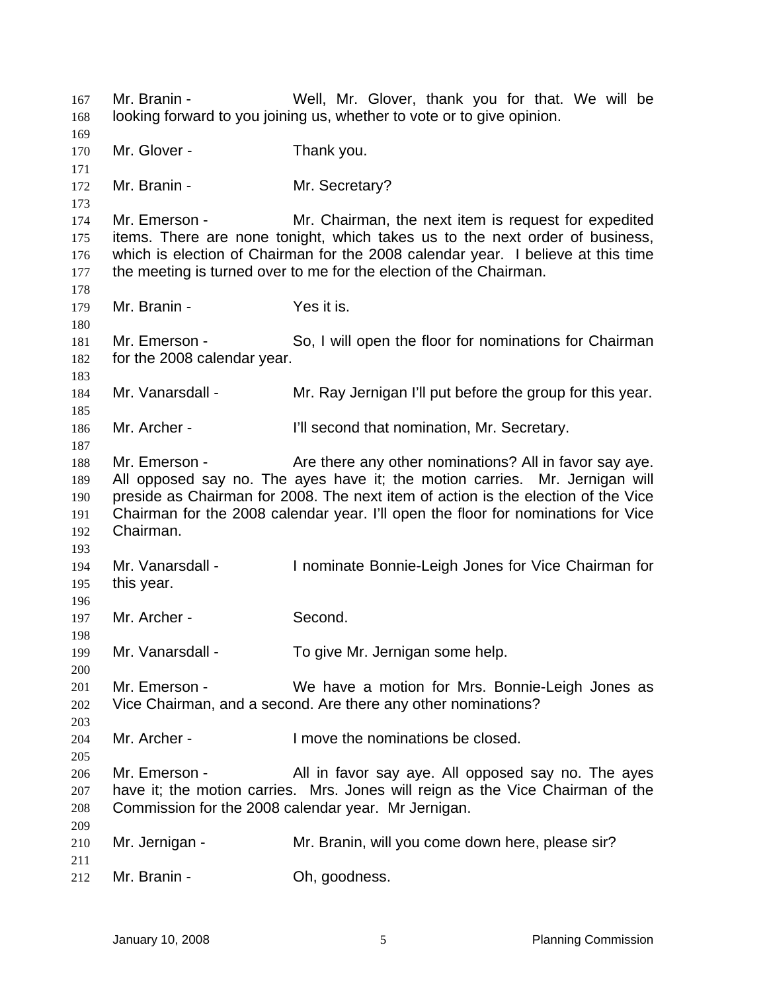Mr. Branin - Well, Mr. Glover, thank you for that. We will be looking forward to you joining us, whether to vote or to give opinion. 167 168 169 170 171 172 173 174 175 176 177 178 179 180 181 182 183 184 185 186 187 188 189 190 191 192 193 194 195 196 197 198 199 200 201 202 203 204 205 206 207 208 209 210 211 212 Mr. Glover - Thank you. Mr. Branin - Mr. Secretary? Mr. Emerson - Mr. Chairman, the next item is request for expedited items. There are none tonight, which takes us to the next order of business, which is election of Chairman for the 2008 calendar year. I believe at this time the meeting is turned over to me for the election of the Chairman. Mr. Branin - Yes it is. Mr. Emerson - So, I will open the floor for nominations for Chairman for the 2008 calendar year. Mr. Vanarsdall - Mr. Ray Jernigan I'll put before the group for this year. Mr. Archer - **I'll second that nomination, Mr. Secretary.** Mr. Emerson - The Are there any other nominations? All in favor say ave. All opposed say no. The ayes have it; the motion carries. Mr. Jernigan will preside as Chairman for 2008. The next item of action is the election of the Vice Chairman for the 2008 calendar year. I'll open the floor for nominations for Vice Chairman. Mr. Vanarsdall - I nominate Bonnie-Leigh Jones for Vice Chairman for this year. Mr. Archer - Second. Mr. Vanarsdall - To give Mr. Jernigan some help. Mr. Emerson - We have a motion for Mrs. Bonnie-Leigh Jones as Vice Chairman, and a second. Are there any other nominations? Mr. Archer - The limove the nominations be closed. Mr. Emerson - All in favor say aye. All opposed say no. The ayes have it; the motion carries. Mrs. Jones will reign as the Vice Chairman of the Commission for the 2008 calendar year. Mr Jernigan. Mr. Jernigan - The Mr. Branin, will you come down here, please sir? Mr. Branin - Ch, goodness.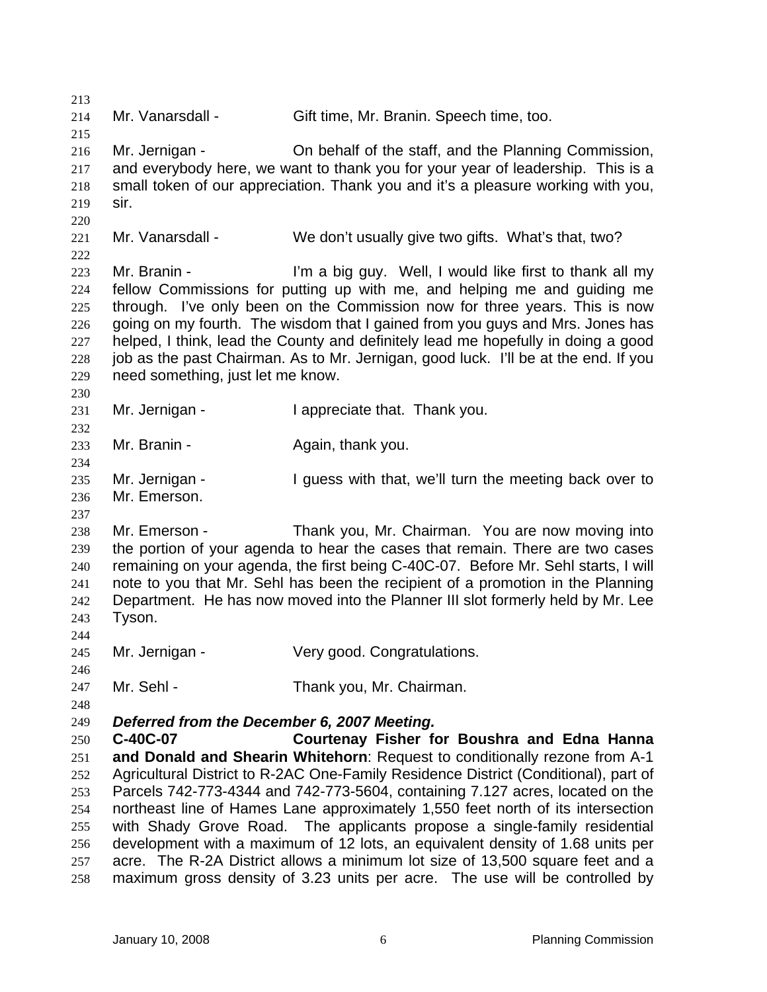213 214 215 216 217 218 219 220 221 222  $223$ 224 225 226 227 228 229 230 231 232 233 234 235 236 237 238 239 240 241 242 243 244 245 246 247 248 249 250 251 252 253 254 255 256 257 258 Mr. Vanarsdall - Gift time, Mr. Branin. Speech time, too. Mr. Jernigan - Childen behalf of the staff, and the Planning Commission, and everybody here, we want to thank you for your year of leadership. This is a small token of our appreciation. Thank you and it's a pleasure working with you, sir. Mr. Vanarsdall - We don't usually give two gifts. What's that, two? Mr. Branin - I'm a big guy. Well, I would like first to thank all my fellow Commissions for putting up with me, and helping me and guiding me through. I've only been on the Commission now for three years. This is now going on my fourth. The wisdom that I gained from you guys and Mrs. Jones has helped, I think, lead the County and definitely lead me hopefully in doing a good job as the past Chairman. As to Mr. Jernigan, good luck. I'll be at the end. If you need something, just let me know. Mr. Jernigan - I appreciate that. Thank you. Mr. Branin - The Again, thank you. Mr. Jernigan - The Surgess with that, we'll turn the meeting back over to Mr. Emerson. Mr. Emerson - Thank you, Mr. Chairman. You are now moving into the portion of your agenda to hear the cases that remain. There are two cases remaining on your agenda, the first being C-40C-07. Before Mr. Sehl starts, I will note to you that Mr. Sehl has been the recipient of a promotion in the Planning Department. He has now moved into the Planner III slot formerly held by Mr. Lee Tyson. Mr. Jernigan - Very good. Congratulations. Mr. Sehl - Thank you, Mr. Chairman. *Deferred from the December 6, 2007 Meeting.*  **C-40C-07 Courtenay Fisher for Boushra and Edna Hanna and Donald and Shearin Whitehorn**: Request to conditionally rezone from A-1 Agricultural District to R-2AC One-Family Residence District (Conditional), part of Parcels 742-773-4344 and 742-773-5604, containing 7.127 acres, located on the northeast line of Hames Lane approximately 1,550 feet north of its intersection with Shady Grove Road. The applicants propose a single-family residential development with a maximum of 12 lots, an equivalent density of 1.68 units per acre. The R-2A District allows a minimum lot size of 13,500 square feet and a maximum gross density of 3.23 units per acre. The use will be controlled by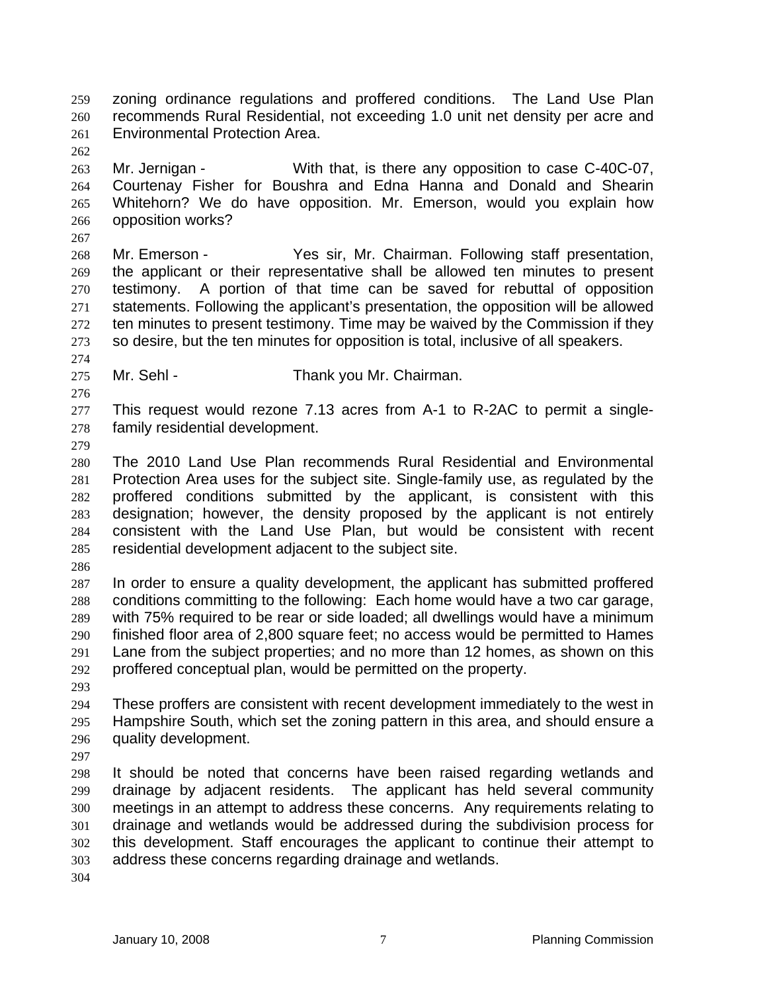zoning ordinance regulations and proffered conditions. The Land Use Plan recommends Rural Residential, not exceeding 1.0 unit net density per acre and Environmental Protection Area. 259 260 261

262 263 264 265 266 Mr. Jernigan - With that, is there any opposition to case C-40C-07, Courtenay Fisher for Boushra and Edna Hanna and Donald and Shearin Whitehorn? We do have opposition. Mr. Emerson, would you explain how opposition works?

268 269 270 271 272 273 Mr. Emerson - Yes sir, Mr. Chairman. Following staff presentation, the applicant or their representative shall be allowed ten minutes to present testimony. A portion of that time can be saved for rebuttal of opposition statements. Following the applicant's presentation, the opposition will be allowed ten minutes to present testimony. Time may be waived by the Commission if they so desire, but the ten minutes for opposition is total, inclusive of all speakers.

- 275 Mr. Sehl - Thank you Mr. Chairman.
- 277 278 This request would rezone 7.13 acres from A-1 to R-2AC to permit a singlefamily residential development.
- 279

274

276

267

280 281 282 283 284 285 The 2010 Land Use Plan recommends Rural Residential and Environmental Protection Area uses for the subject site. Single-family use, as regulated by the proffered conditions submitted by the applicant, is consistent with this designation; however, the density proposed by the applicant is not entirely consistent with the Land Use Plan, but would be consistent with recent residential development adjacent to the subject site.

286

287 288 289 290 291 292 In order to ensure a quality development, the applicant has submitted proffered conditions committing to the following: Each home would have a two car garage, with 75% required to be rear or side loaded; all dwellings would have a minimum finished floor area of 2,800 square feet; no access would be permitted to Hames Lane from the subject properties; and no more than 12 homes, as shown on this proffered conceptual plan, would be permitted on the property.

293

294 295 296 These proffers are consistent with recent development immediately to the west in Hampshire South, which set the zoning pattern in this area, and should ensure a quality development.

297

298 299 300 301 302 303 It should be noted that concerns have been raised regarding wetlands and drainage by adjacent residents. The applicant has held several community meetings in an attempt to address these concerns. Any requirements relating to drainage and wetlands would be addressed during the subdivision process for this development. Staff encourages the applicant to continue their attempt to address these concerns regarding drainage and wetlands.

304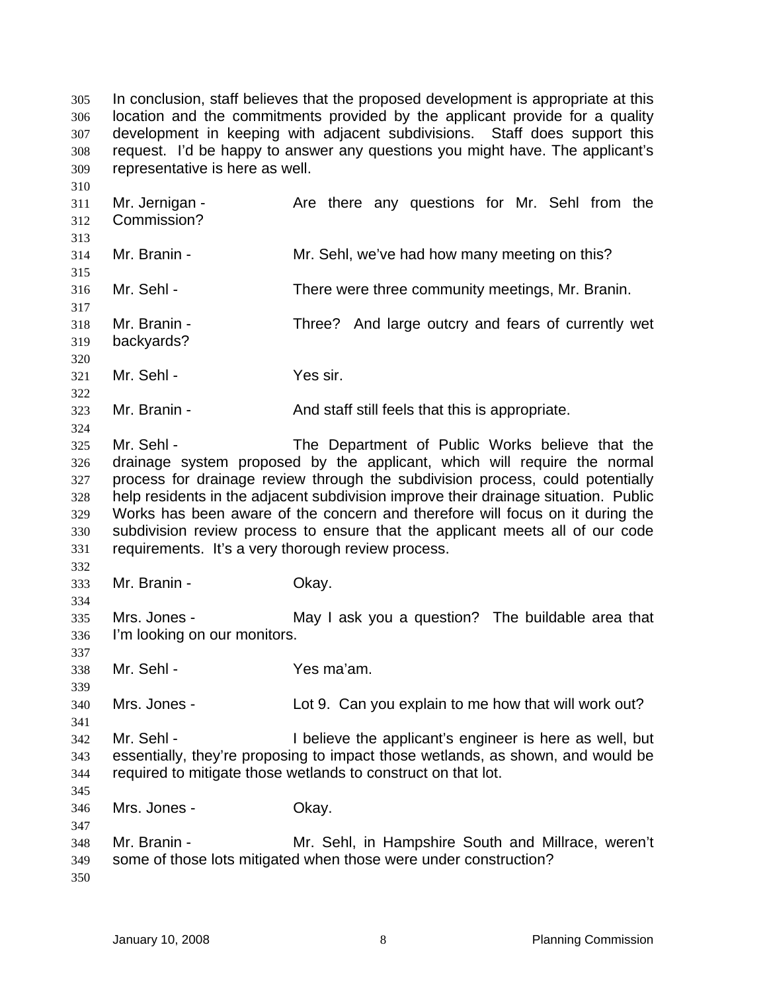In conclusion, staff believes that the proposed development is appropriate at this location and the commitments provided by the applicant provide for a quality development in keeping with adjacent subdivisions. Staff does support this request. I'd be happy to answer any questions you might have. The applicant's representative is here as well. 305 306 307 308 309

311 312 313 314 315 316 317 318 319 320 321 322 323 324 325 326 327 328 329 330 331 332 333 334 335 336 337 338 339 340 341 342 343 344 345 346 347 348 349 350 Mr. Jernigan - The Are there any questions for Mr. Sehl from the Commission? Mr. Branin - Mr. Sehl, we've had how many meeting on this? Mr. Sehl - There were three community meetings, Mr. Branin. Mr. Branin - Three? And large outcry and fears of currently wet backyards? Mr. Sehl - Yes sir. Mr. Branin - The And staff still feels that this is appropriate. Mr. Sehl - The Department of Public Works believe that the drainage system proposed by the applicant, which will require the normal process for drainage review through the subdivision process, could potentially help residents in the adjacent subdivision improve their drainage situation. Public Works has been aware of the concern and therefore will focus on it during the subdivision review process to ensure that the applicant meets all of our code requirements. It's a very thorough review process. Mr. Branin - Chay. Mrs. Jones - The May I ask you a question? The buildable area that I'm looking on our monitors. Mr. Sehl - Yes ma'am. Mrs. Jones - Lot 9. Can you explain to me how that will work out? Mr. Sehl - The I believe the applicant's engineer is here as well, but essentially, they're proposing to impact those wetlands, as shown, and would be required to mitigate those wetlands to construct on that lot. Mrs. Jones - Chay. Mr. Branin - Mr. Sehl, in Hampshire South and Millrace, weren't some of those lots mitigated when those were under construction?

310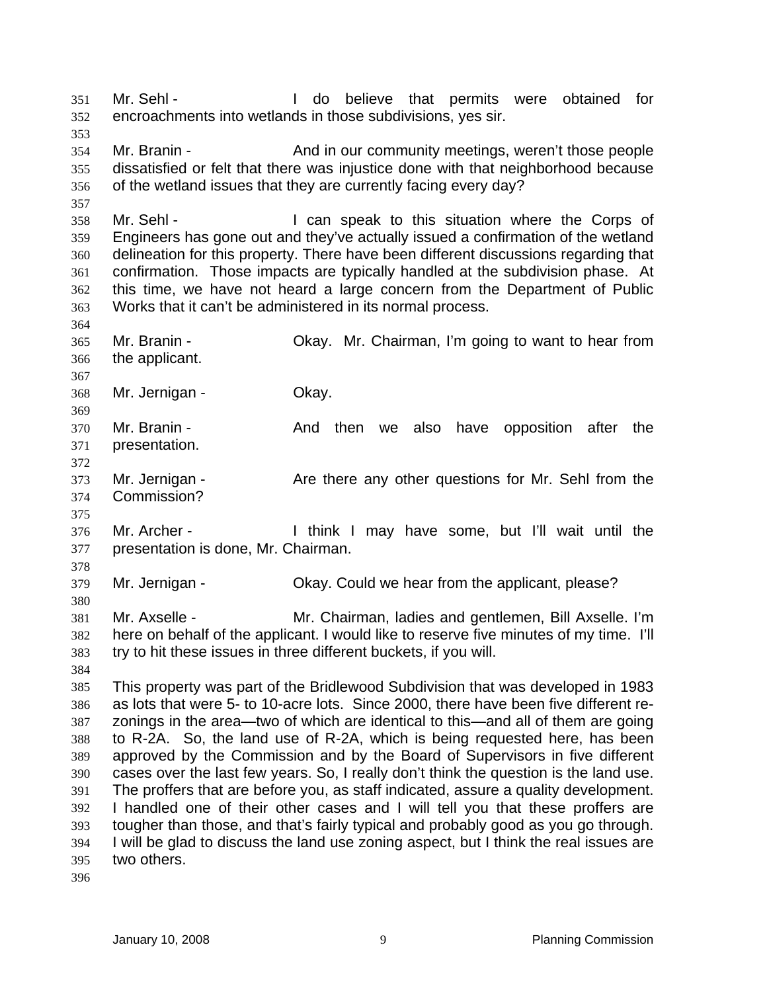Mr. Sehl - I do believe that permits were obtained for encroachments into wetlands in those subdivisions, yes sir. 351 352 353 354 355 356 357 358 359 360 361 362 363 364 365 366 367 368 369 370 371 372 373 374 375 376 377 378 379 380 381 382 383 384 385 386 387 388 389 390 391 392 393 394 395 396 Mr. Branin - And in our community meetings, weren't those people dissatisfied or felt that there was injustice done with that neighborhood because of the wetland issues that they are currently facing every day? Mr. Sehl - The Corps of I can speak to this situation where the Corps of Engineers has gone out and they've actually issued a confirmation of the wetland delineation for this property. There have been different discussions regarding that confirmation. Those impacts are typically handled at the subdivision phase. At this time, we have not heard a large concern from the Department of Public Works that it can't be administered in its normal process. Mr. Branin - Okay. Mr. Chairman, I'm going to want to hear from the applicant. Mr. Jernigan - Ckay. Mr. Branin - The Stand then we also have opposition after the presentation. Mr. Jernigan - The Are there any other questions for Mr. Sehl from the Commission? Mr. Archer - Think I may have some, but I'll wait until the presentation is done, Mr. Chairman. Mr. Jernigan - Okay. Could we hear from the applicant, please? Mr. Axselle - Mr. Chairman, ladies and gentlemen, Bill Axselle. I'm here on behalf of the applicant. I would like to reserve five minutes of my time. I'll try to hit these issues in three different buckets, if you will. This property was part of the Bridlewood Subdivision that was developed in 1983 as lots that were 5- to 10-acre lots. Since 2000, there have been five different rezonings in the area—two of which are identical to this—and all of them are going to R-2A. So, the land use of R-2A, which is being requested here, has been approved by the Commission and by the Board of Supervisors in five different cases over the last few years. So, I really don't think the question is the land use. The proffers that are before you, as staff indicated, assure a quality development. I handled one of their other cases and I will tell you that these proffers are tougher than those, and that's fairly typical and probably good as you go through. I will be glad to discuss the land use zoning aspect, but I think the real issues are two others.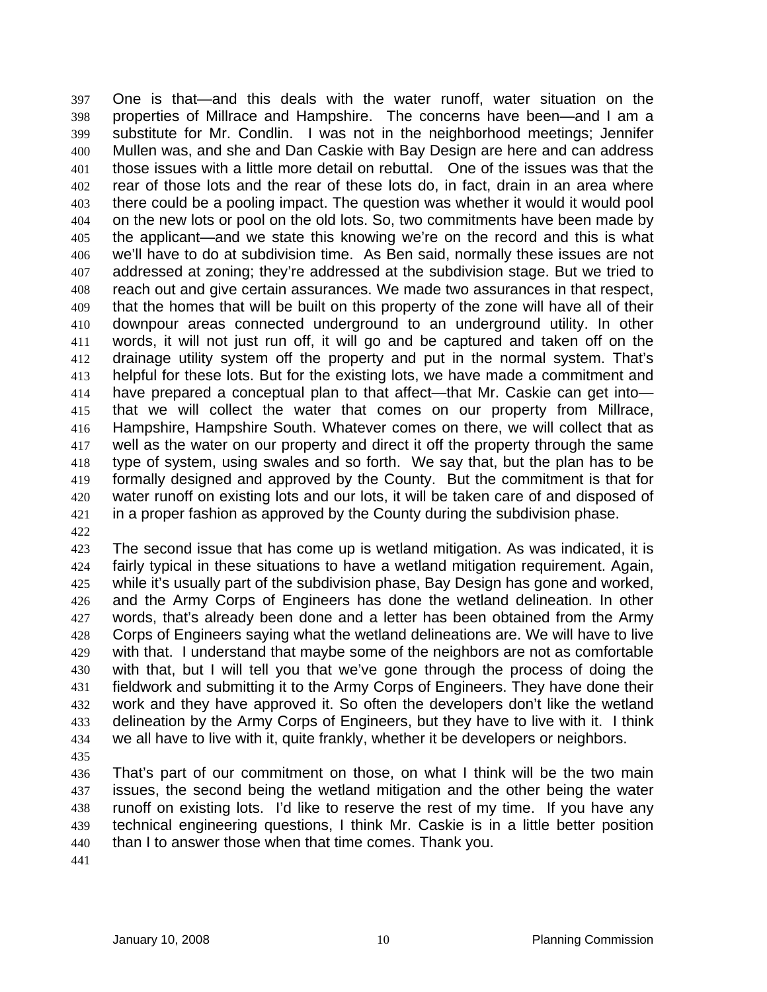One is that—and this deals with the water runoff, water situation on the properties of Millrace and Hampshire. The concerns have been—and I am a substitute for Mr. Condlin. I was not in the neighborhood meetings; Jennifer Mullen was, and she and Dan Caskie with Bay Design are here and can address those issues with a little more detail on rebuttal. One of the issues was that the rear of those lots and the rear of these lots do, in fact, drain in an area where there could be a pooling impact. The question was whether it would it would pool on the new lots or pool on the old lots. So, two commitments have been made by the applicant—and we state this knowing we're on the record and this is what we'll have to do at subdivision time. As Ben said, normally these issues are not addressed at zoning; they're addressed at the subdivision stage. But we tried to reach out and give certain assurances. We made two assurances in that respect, that the homes that will be built on this property of the zone will have all of their downpour areas connected underground to an underground utility. In other words, it will not just run off, it will go and be captured and taken off on the drainage utility system off the property and put in the normal system. That's helpful for these lots. But for the existing lots, we have made a commitment and have prepared a conceptual plan to that affect—that Mr. Caskie can get into that we will collect the water that comes on our property from Millrace, Hampshire, Hampshire South. Whatever comes on there, we will collect that as well as the water on our property and direct it off the property through the same type of system, using swales and so forth. We say that, but the plan has to be formally designed and approved by the County. But the commitment is that for water runoff on existing lots and our lots, it will be taken care of and disposed of in a proper fashion as approved by the County during the subdivision phase. 397 398 399 400 401 402 403 404 405 406 407 408 409 410 411 412 413 414 415 416 417 418 419 420 421

422

423 424 425 426 427 428 429 430 431 432 433 434 The second issue that has come up is wetland mitigation. As was indicated, it is fairly typical in these situations to have a wetland mitigation requirement. Again, while it's usually part of the subdivision phase, Bay Design has gone and worked, and the Army Corps of Engineers has done the wetland delineation. In other words, that's already been done and a letter has been obtained from the Army Corps of Engineers saying what the wetland delineations are. We will have to live with that. I understand that maybe some of the neighbors are not as comfortable with that, but I will tell you that we've gone through the process of doing the fieldwork and submitting it to the Army Corps of Engineers. They have done their work and they have approved it. So often the developers don't like the wetland delineation by the Army Corps of Engineers, but they have to live with it. I think we all have to live with it, quite frankly, whether it be developers or neighbors.

435

436 437 438 439 440 That's part of our commitment on those, on what I think will be the two main issues, the second being the wetland mitigation and the other being the water runoff on existing lots. I'd like to reserve the rest of my time. If you have any technical engineering questions, I think Mr. Caskie is in a little better position than I to answer those when that time comes. Thank you.

441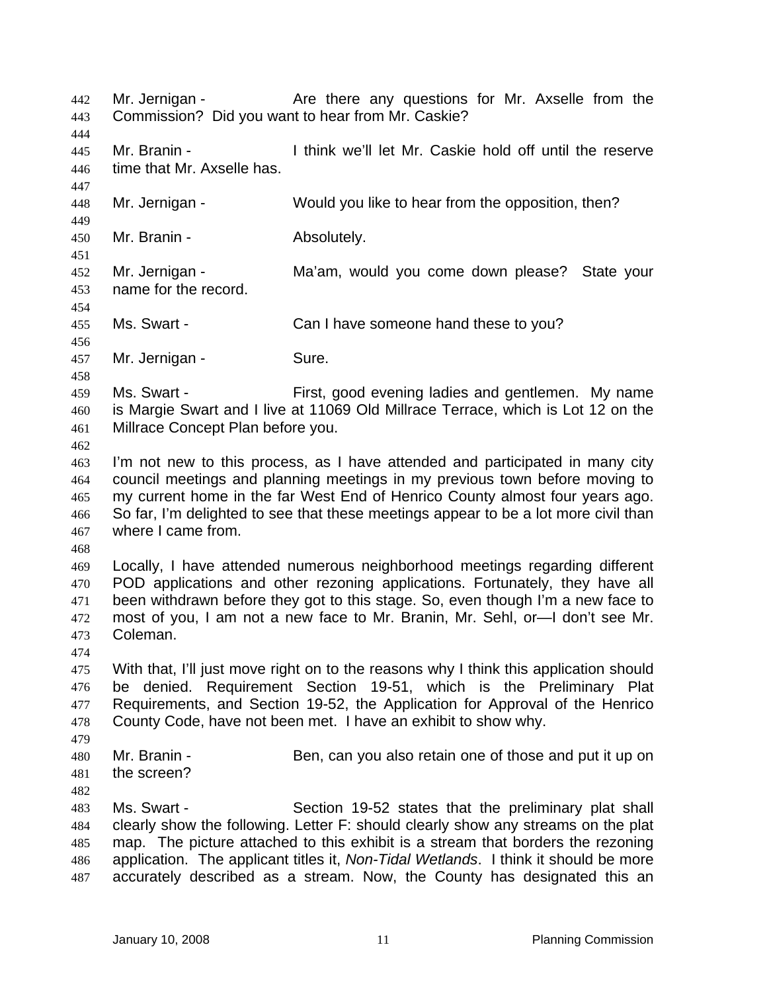Mr. Jernigan - Are there any questions for Mr. Axselle from the Commission? Did you want to hear from Mr. Caskie? 442 443 444 445 446 447 448 449 450 451 452 453 454 455 456 457 458 459 460 461 462 463 464 465 466 467 468 469 470 471 472 473 474 475 476 477 478 479 480 481 482 483 484 485 486 487 Mr. Branin - I think we'll let Mr. Caskie hold off until the reserve time that Mr. Axselle has. Mr. Jernigan - Would you like to hear from the opposition, then? Mr. Branin - The Absolutely. Mr. Jernigan - Ma'am, would you come down please? State your name for the record. Ms. Swart - Can I have someone hand these to you? Mr. Jernigan - Sure. Ms. Swart - First, good evening ladies and gentlemen. My name is Margie Swart and I live at 11069 Old Millrace Terrace, which is Lot 12 on the Millrace Concept Plan before you. I'm not new to this process, as I have attended and participated in many city council meetings and planning meetings in my previous town before moving to my current home in the far West End of Henrico County almost four years ago. So far, I'm delighted to see that these meetings appear to be a lot more civil than where I came from. Locally, I have attended numerous neighborhood meetings regarding different POD applications and other rezoning applications. Fortunately, they have all been withdrawn before they got to this stage. So, even though I'm a new face to most of you, I am not a new face to Mr. Branin, Mr. Sehl, or—I don't see Mr. Coleman. With that, I'll just move right on to the reasons why I think this application should be denied. Requirement Section 19-51, which is the Preliminary Plat Requirements, and Section 19-52, the Application for Approval of the Henrico County Code, have not been met. I have an exhibit to show why. Mr. Branin - Ben, can you also retain one of those and put it up on the screen? Ms. Swart - Section 19-52 states that the preliminary plat shall clearly show the following. Letter F: should clearly show any streams on the plat map. The picture attached to this exhibit is a stream that borders the rezoning application. The applicant titles it, *Non-Tidal Wetlands*. I think it should be more accurately described as a stream. Now, the County has designated this an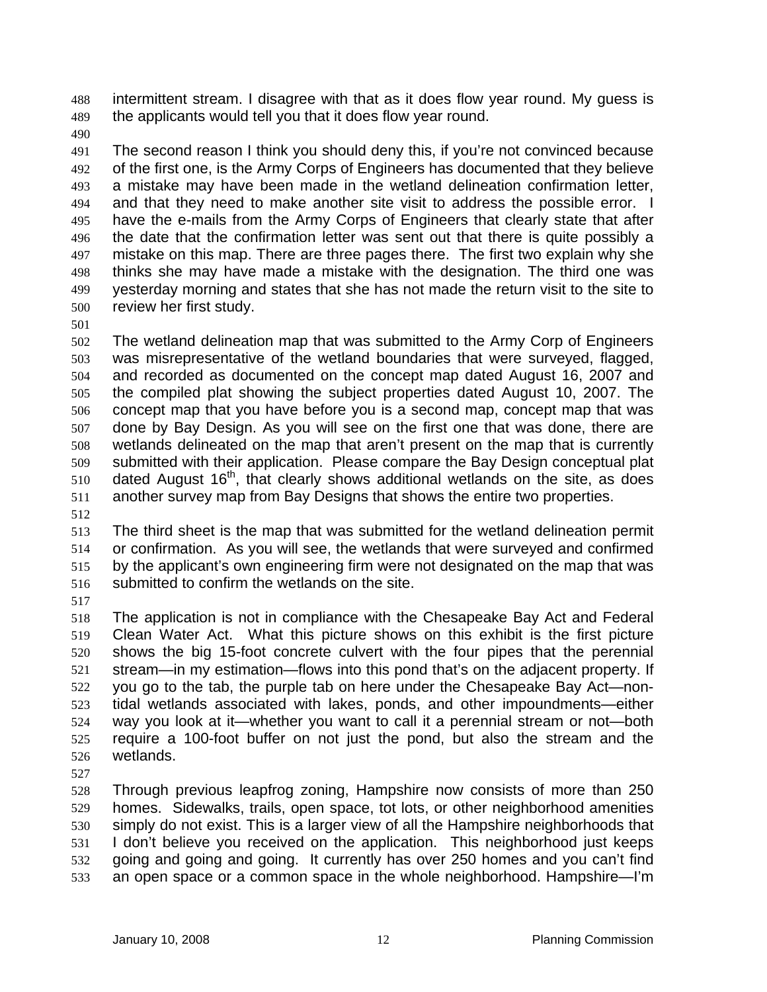intermittent stream. I disagree with that as it does flow year round. My guess is the applicants would tell you that it does flow year round. 488 489

490

491 492 493 494 495 496 497 498 499 500 The second reason I think you should deny this, if you're not convinced because of the first one, is the Army Corps of Engineers has documented that they believe a mistake may have been made in the wetland delineation confirmation letter, and that they need to make another site visit to address the possible error. I have the e-mails from the Army Corps of Engineers that clearly state that after the date that the confirmation letter was sent out that there is quite possibly a mistake on this map. There are three pages there. The first two explain why she thinks she may have made a mistake with the designation. The third one was yesterday morning and states that she has not made the return visit to the site to review her first study.

501

502 503 504 505 506 507 508 509 510 511 The wetland delineation map that was submitted to the Army Corp of Engineers was misrepresentative of the wetland boundaries that were surveyed, flagged, and recorded as documented on the concept map dated August 16, 2007 and the compiled plat showing the subject properties dated August 10, 2007. The concept map that you have before you is a second map, concept map that was done by Bay Design. As you will see on the first one that was done, there are wetlands delineated on the map that aren't present on the map that is currently submitted with their application. Please compare the Bay Design conceptual plat dated August 16<sup>th</sup>, that clearly shows additional wetlands on the site, as does another survey map from Bay Designs that shows the entire two properties.

512

513 514 515 516 The third sheet is the map that was submitted for the wetland delineation permit or confirmation. As you will see, the wetlands that were surveyed and confirmed by the applicant's own engineering firm were not designated on the map that was submitted to confirm the wetlands on the site.

517

518 519 520 521 522 523 524 525 526 The application is not in compliance with the Chesapeake Bay Act and Federal Clean Water Act. What this picture shows on this exhibit is the first picture shows the big 15-foot concrete culvert with the four pipes that the perennial stream—in my estimation—flows into this pond that's on the adjacent property. If you go to the tab, the purple tab on here under the Chesapeake Bay Act—nontidal wetlands associated with lakes, ponds, and other impoundments—either way you look at it—whether you want to call it a perennial stream or not—both require a 100-foot buffer on not just the pond, but also the stream and the wetlands.

527

528 529 530 531 532 533 Through previous leapfrog zoning, Hampshire now consists of more than 250 homes. Sidewalks, trails, open space, tot lots, or other neighborhood amenities simply do not exist. This is a larger view of all the Hampshire neighborhoods that I don't believe you received on the application. This neighborhood just keeps going and going and going. It currently has over 250 homes and you can't find an open space or a common space in the whole neighborhood. Hampshire—I'm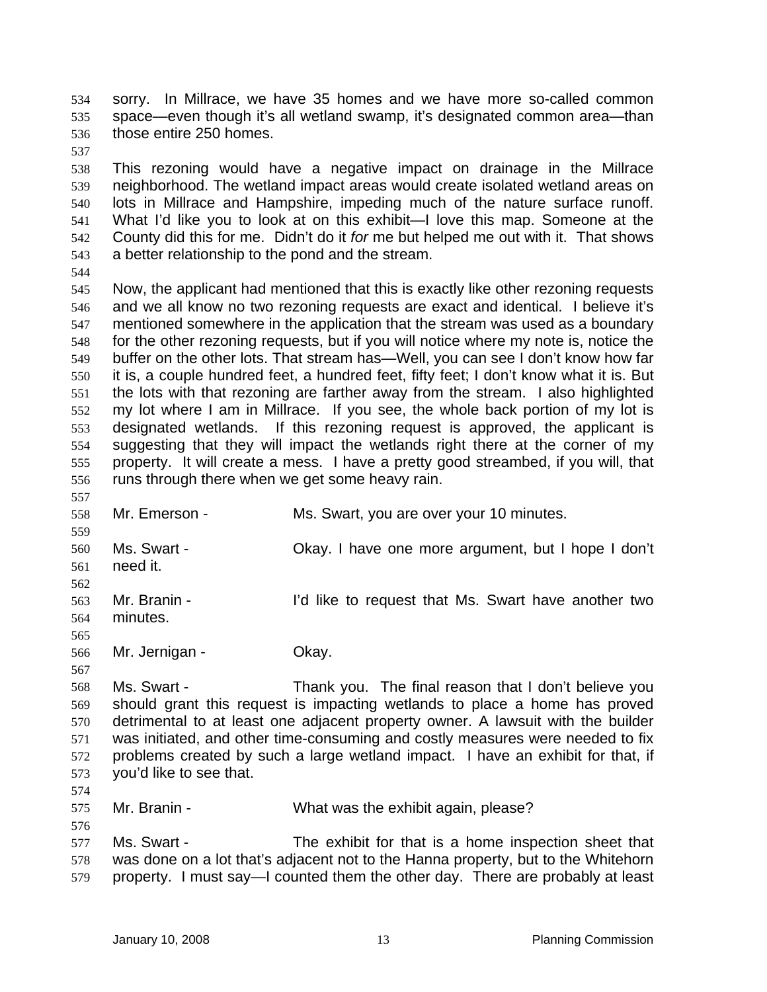sorry. In Millrace, we have 35 homes and we have more so-called common space—even though it's all wetland swamp, it's designated common area—than those entire 250 homes. 534 535 536

537

538 539 540 541 542 543 This rezoning would have a negative impact on drainage in the Millrace neighborhood. The wetland impact areas would create isolated wetland areas on lots in Millrace and Hampshire, impeding much of the nature surface runoff. What I'd like you to look at on this exhibit—I love this map. Someone at the County did this for me. Didn't do it *for* me but helped me out with it. That shows a better relationship to the pond and the stream.

544

545 546 547 548 549 550 551 552 553 554 555 556 Now, the applicant had mentioned that this is exactly like other rezoning requests and we all know no two rezoning requests are exact and identical. I believe it's mentioned somewhere in the application that the stream was used as a boundary for the other rezoning requests, but if you will notice where my note is, notice the buffer on the other lots. That stream has—Well, you can see I don't know how far it is, a couple hundred feet, a hundred feet, fifty feet; I don't know what it is. But the lots with that rezoning are farther away from the stream. I also highlighted my lot where I am in Millrace. If you see, the whole back portion of my lot is designated wetlands. If this rezoning request is approved, the applicant is suggesting that they will impact the wetlands right there at the corner of my property. It will create a mess. I have a pretty good streambed, if you will, that runs through there when we get some heavy rain.

557 558 559 560 561 562 563 564 565 566 567 568 569 Mr. Emerson - Ms. Swart, you are over your 10 minutes. Ms. Swart - Okay. I have one more argument, but I hope I don't need it. Mr. Branin - The Text of Time to request that Ms. Swart have another two minutes. Mr. Jernigan - **Okay.** Ms. Swart - Thank you. The final reason that I don't believe you should grant this request is impacting wetlands to place a home has proved

570 571 572 573 detrimental to at least one adjacent property owner. A lawsuit with the builder was initiated, and other time-consuming and costly measures were needed to fix problems created by such a large wetland impact. I have an exhibit for that, if you'd like to see that.

574 575

576

Mr. Branin - What was the exhibit again, please?

577 578 579 Ms. Swart - The exhibit for that is a home inspection sheet that was done on a lot that's adjacent not to the Hanna property, but to the Whitehorn property. I must say—I counted them the other day. There are probably at least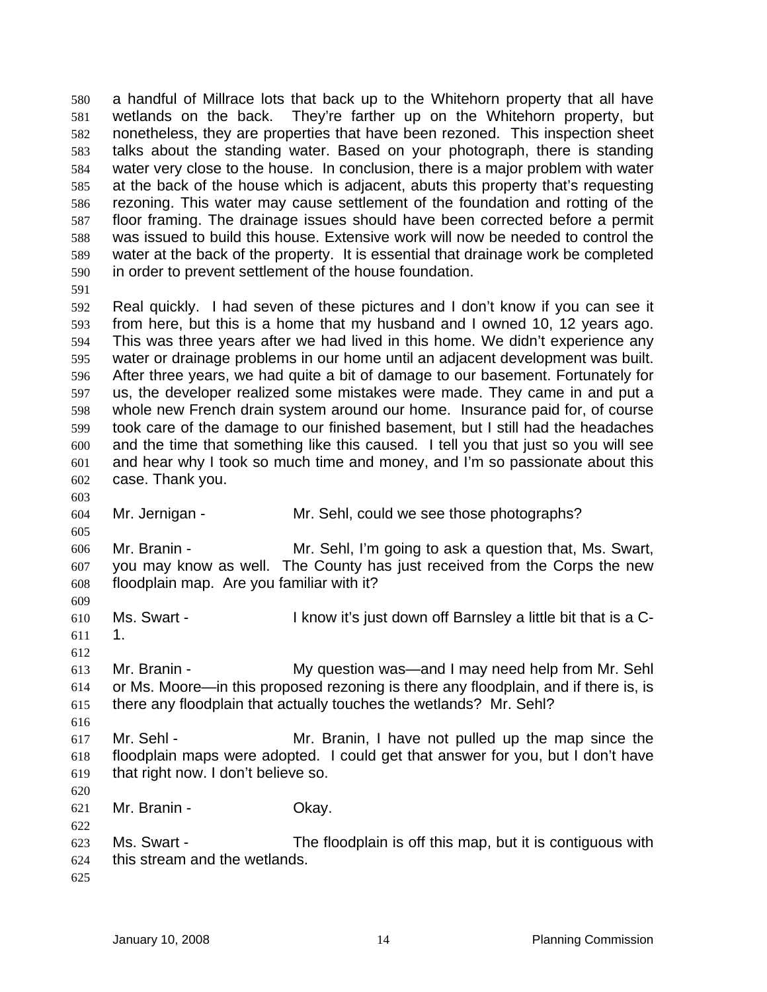a handful of Millrace lots that back up to the Whitehorn property that all have wetlands on the back. They're farther up on the Whitehorn property, but nonetheless, they are properties that have been rezoned. This inspection sheet talks about the standing water. Based on your photograph, there is standing water very close to the house. In conclusion, there is a major problem with water at the back of the house which is adjacent, abuts this property that's requesting rezoning. This water may cause settlement of the foundation and rotting of the floor framing. The drainage issues should have been corrected before a permit was issued to build this house. Extensive work will now be needed to control the water at the back of the property. It is essential that drainage work be completed in order to prevent settlement of the house foundation. 580 581 582 583 584 585 586 587 588 589 590

591

592 593 594 595 596 597 598 599 600 601 602 Real quickly. I had seven of these pictures and I don't know if you can see it from here, but this is a home that my husband and I owned 10, 12 years ago. This was three years after we had lived in this home. We didn't experience any water or drainage problems in our home until an adjacent development was built. After three years, we had quite a bit of damage to our basement. Fortunately for us, the developer realized some mistakes were made. They came in and put a whole new French drain system around our home. Insurance paid for, of course took care of the damage to our finished basement, but I still had the headaches and the time that something like this caused. I tell you that just so you will see and hear why I took so much time and money, and I'm so passionate about this case. Thank you.

603

605

609

612

616

620

604 Mr. Jernigan - Mr. Sehl, could we see those photographs?

606 607 608 Mr. Branin - Mr. Sehl, I'm going to ask a question that, Ms. Swart, you may know as well. The County has just received from the Corps the new floodplain map. Are you familiar with it?

- 610 611 Ms. Swart - The Summark of I know it's just down off Barnsley a little bit that is a C-1.
- 613 614 615 Mr. Branin - The My question was—and I may need help from Mr. Sehl or Ms. Moore—in this proposed rezoning is there any floodplain, and if there is, is there any floodplain that actually touches the wetlands? Mr. Sehl?
- 617 618 619 Mr. Sehl - Mr. Branin, I have not pulled up the map since the floodplain maps were adopted. I could get that answer for you, but I don't have that right now. I don't believe so.
- 621 Mr. Branin - Ckay.
- 622 623 624 Ms. Swart - The floodplain is off this map, but it is contiguous with this stream and the wetlands.
- 625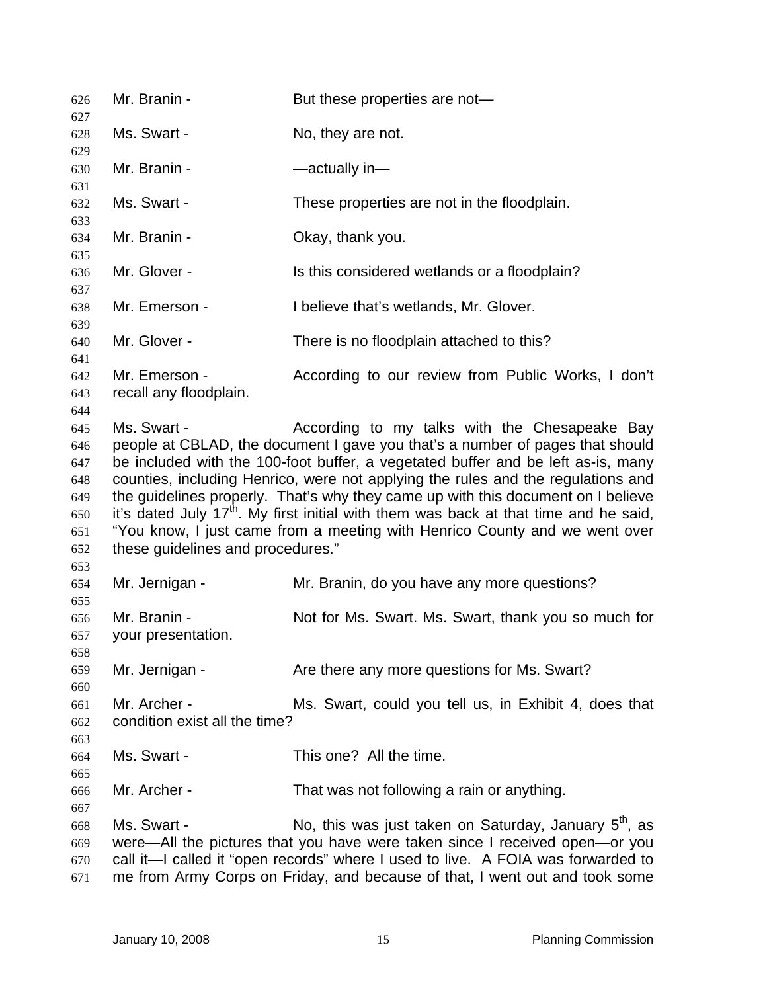| 626                                                                | Mr. Branin -                                                                                                                                                                                                                                                                                                                                                                                                                                                                                                                                                                                                                     | But these properties are not-                                                                                                                                                                                                                                                                             |  |
|--------------------------------------------------------------------|----------------------------------------------------------------------------------------------------------------------------------------------------------------------------------------------------------------------------------------------------------------------------------------------------------------------------------------------------------------------------------------------------------------------------------------------------------------------------------------------------------------------------------------------------------------------------------------------------------------------------------|-----------------------------------------------------------------------------------------------------------------------------------------------------------------------------------------------------------------------------------------------------------------------------------------------------------|--|
| 627<br>628                                                         | Ms. Swart -                                                                                                                                                                                                                                                                                                                                                                                                                                                                                                                                                                                                                      | No, they are not.                                                                                                                                                                                                                                                                                         |  |
| 629<br>630                                                         | Mr. Branin -                                                                                                                                                                                                                                                                                                                                                                                                                                                                                                                                                                                                                     | -actually in-                                                                                                                                                                                                                                                                                             |  |
| 631                                                                |                                                                                                                                                                                                                                                                                                                                                                                                                                                                                                                                                                                                                                  |                                                                                                                                                                                                                                                                                                           |  |
| 632<br>633                                                         | Ms. Swart -                                                                                                                                                                                                                                                                                                                                                                                                                                                                                                                                                                                                                      | These properties are not in the floodplain.                                                                                                                                                                                                                                                               |  |
| 634                                                                | Mr. Branin -                                                                                                                                                                                                                                                                                                                                                                                                                                                                                                                                                                                                                     | Okay, thank you.                                                                                                                                                                                                                                                                                          |  |
| 635<br>636                                                         | Mr. Glover -                                                                                                                                                                                                                                                                                                                                                                                                                                                                                                                                                                                                                     | Is this considered wetlands or a floodplain?                                                                                                                                                                                                                                                              |  |
| 637<br>638                                                         | Mr. Emerson -                                                                                                                                                                                                                                                                                                                                                                                                                                                                                                                                                                                                                    | I believe that's wetlands, Mr. Glover.                                                                                                                                                                                                                                                                    |  |
| 639<br>640                                                         | Mr. Glover -                                                                                                                                                                                                                                                                                                                                                                                                                                                                                                                                                                                                                     | There is no floodplain attached to this?                                                                                                                                                                                                                                                                  |  |
| 641<br>642<br>643                                                  | Mr. Emerson -<br>recall any floodplain.                                                                                                                                                                                                                                                                                                                                                                                                                                                                                                                                                                                          | According to our review from Public Works, I don't                                                                                                                                                                                                                                                        |  |
| 644<br>645<br>646<br>647<br>648<br>649<br>650<br>651<br>652<br>653 | Ms. Swart -<br>According to my talks with the Chesapeake Bay<br>people at CBLAD, the document I gave you that's a number of pages that should<br>be included with the 100-foot buffer, a vegetated buffer and be left as-is, many<br>counties, including Henrico, were not applying the rules and the regulations and<br>the guidelines properly. That's why they came up with this document on I believe<br>it's dated July 17 <sup>th</sup> . My first initial with them was back at that time and he said,<br>"You know, I just came from a meeting with Henrico County and we went over<br>these guidelines and procedures." |                                                                                                                                                                                                                                                                                                           |  |
| 654                                                                | Mr. Jernigan -                                                                                                                                                                                                                                                                                                                                                                                                                                                                                                                                                                                                                   | Mr. Branin, do you have any more questions?                                                                                                                                                                                                                                                               |  |
| 655<br>656<br>657<br>658                                           | Mr. Branin -<br>your presentation.                                                                                                                                                                                                                                                                                                                                                                                                                                                                                                                                                                                               | Not for Ms. Swart. Ms. Swart, thank you so much for                                                                                                                                                                                                                                                       |  |
| 659                                                                | Mr. Jernigan -                                                                                                                                                                                                                                                                                                                                                                                                                                                                                                                                                                                                                   | Are there any more questions for Ms. Swart?                                                                                                                                                                                                                                                               |  |
| 660<br>661<br>662<br>663                                           | Mr. Archer -<br>condition exist all the time?                                                                                                                                                                                                                                                                                                                                                                                                                                                                                                                                                                                    | Ms. Swart, could you tell us, in Exhibit 4, does that                                                                                                                                                                                                                                                     |  |
| 664                                                                | Ms. Swart -                                                                                                                                                                                                                                                                                                                                                                                                                                                                                                                                                                                                                      | This one? All the time.                                                                                                                                                                                                                                                                                   |  |
| 665<br>666                                                         | Mr. Archer -                                                                                                                                                                                                                                                                                                                                                                                                                                                                                                                                                                                                                     | That was not following a rain or anything.                                                                                                                                                                                                                                                                |  |
| 667<br>668<br>669<br>670<br>671                                    | Ms. Swart -                                                                                                                                                                                                                                                                                                                                                                                                                                                                                                                                                                                                                      | No, this was just taken on Saturday, January $5th$ , as<br>were—All the pictures that you have were taken since I received open—or you<br>call it-I called it "open records" where I used to live. A FOIA was forwarded to<br>me from Army Corps on Friday, and because of that, I went out and took some |  |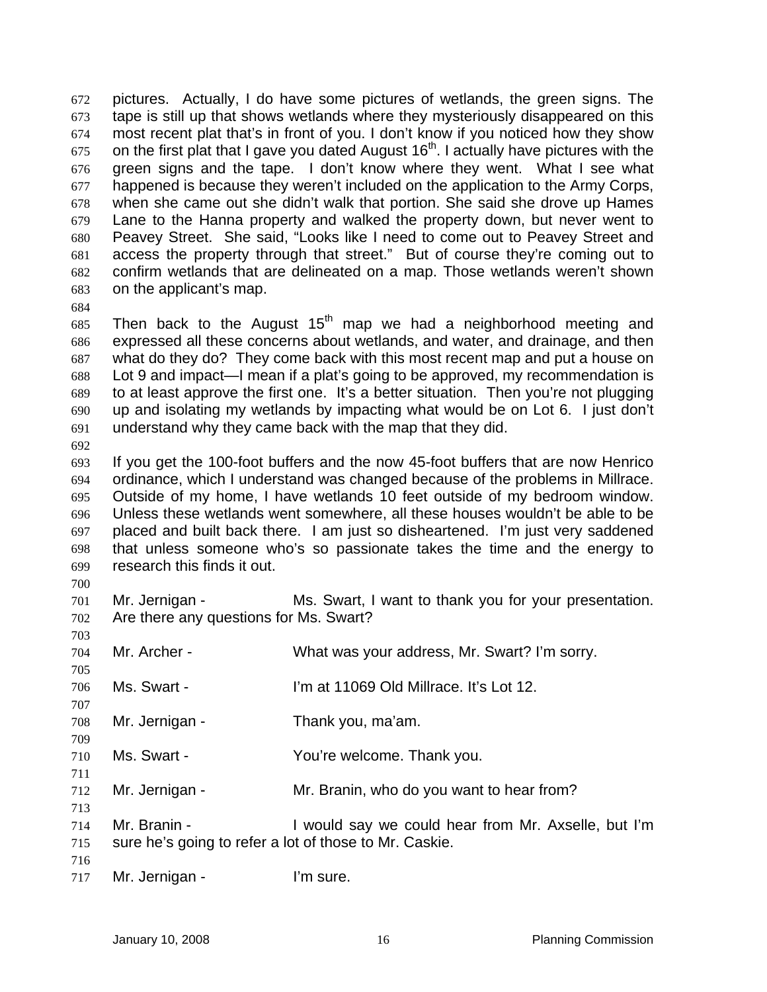pictures. Actually, I do have some pictures of wetlands, the green signs. The tape is still up that shows wetlands where they mysteriously disappeared on this most recent plat that's in front of you. I don't know if you noticed how they show on the first plat that I gave you dated August  $16<sup>th</sup>$ . I actually have pictures with the green signs and the tape. I don't know where they went. What I see what happened is because they weren't included on the application to the Army Corps, when she came out she didn't walk that portion. She said she drove up Hames Lane to the Hanna property and walked the property down, but never went to Peavey Street. She said, "Looks like I need to come out to Peavey Street and access the property through that street." But of course they're coming out to confirm wetlands that are delineated on a map. Those wetlands weren't shown on the applicant's map. 672 673 674 675 676 677 678 679 680 681 682 683

684

685 686 687 688 689 690 691 Then back to the August  $15<sup>th</sup>$  map we had a neighborhood meeting and expressed all these concerns about wetlands, and water, and drainage, and then what do they do? They come back with this most recent map and put a house on Lot 9 and impact—I mean if a plat's going to be approved, my recommendation is to at least approve the first one. It's a better situation. Then you're not plugging up and isolating my wetlands by impacting what would be on Lot 6. I just don't understand why they came back with the map that they did.

692

693 694 695 696 697 698 699 If you get the 100-foot buffers and the now 45-foot buffers that are now Henrico ordinance, which I understand was changed because of the problems in Millrace. Outside of my home, I have wetlands 10 feet outside of my bedroom window. Unless these wetlands went somewhere, all these houses wouldn't be able to be placed and built back there. I am just so disheartened. I'm just very saddened that unless someone who's so passionate takes the time and the energy to research this finds it out.

700

703

709

711

713

701 702 Mr. Jernigan - Ms. Swart, I want to thank you for your presentation. Are there any questions for Ms. Swart?

704 705 Mr. Archer - What was your address, Mr. Swart? I'm sorry.

- 706 707 Ms. Swart - I'm at 11069 Old Millrace. It's Lot 12.
- 708 Mr. Jernigan - Thank you, ma'am.
- 710 Ms. Swart - Thank you. You're welcome. Thank you.
- 712 Mr. Jernigan - Mr. Branin, who do you want to hear from?
- 714 715 Mr. Branin - Twould say we could hear from Mr. Axselle, but I'm sure he's going to refer a lot of those to Mr. Caskie.
- 716
- 717 Mr. Jernigan - I'm sure.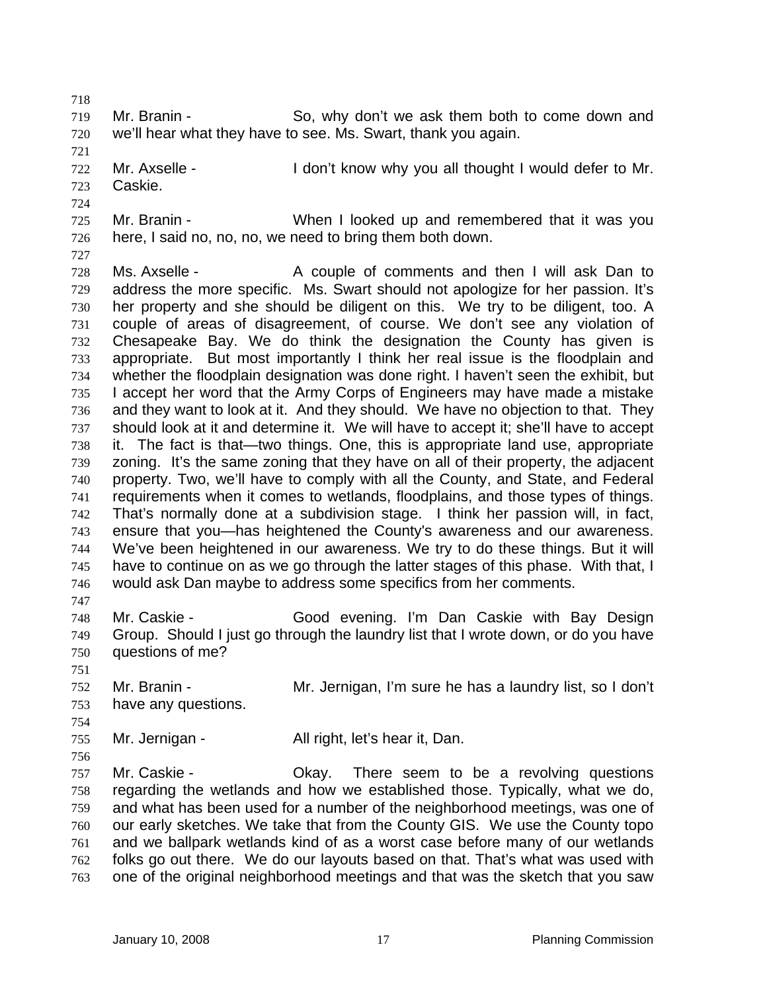718

719 720 Mr. Branin - So, why don't we ask them both to come down and we'll hear what they have to see. Ms. Swart, thank you again.

721 722 Mr. Axselle - **I** don't know why you all thought I would defer to Mr.

- 723 Caskie.
- 724 725 726 Mr. Branin - When I looked up and remembered that it was you here, I said no, no, no, we need to bring them both down.
- 727

751

754

728 729 730 731 732 733 734 735 736 737 738 739 740 741 742 743 744 745 746 747 Ms. Axselle - A couple of comments and then I will ask Dan to address the more specific. Ms. Swart should not apologize for her passion. It's her property and she should be diligent on this. We try to be diligent, too. A couple of areas of disagreement, of course. We don't see any violation of Chesapeake Bay. We do think the designation the County has given is appropriate. But most importantly I think her real issue is the floodplain and whether the floodplain designation was done right. I haven't seen the exhibit, but I accept her word that the Army Corps of Engineers may have made a mistake and they want to look at it. And they should. We have no objection to that. They should look at it and determine it. We will have to accept it; she'll have to accept it. The fact is that—two things. One, this is appropriate land use, appropriate zoning. It's the same zoning that they have on all of their property, the adjacent property. Two, we'll have to comply with all the County, and State, and Federal requirements when it comes to wetlands, floodplains, and those types of things. That's normally done at a subdivision stage. I think her passion will, in fact, ensure that you—has heightened the County's awareness and our awareness. We've been heightened in our awareness. We try to do these things. But it will have to continue on as we go through the latter stages of this phase. With that, I would ask Dan maybe to address some specifics from her comments.

- 748 749 750 Mr. Caskie - Good evening. I'm Dan Caskie with Bay Design Group. Should I just go through the laundry list that I wrote down, or do you have questions of me?
- 752 753 Mr. Branin - Mr. Jernigan, I'm sure he has a laundry list, so I don't have any questions.
- 755 Mr. Jernigan - All right, let's hear it, Dan.

756 757 758 759 760 761 762 763 Mr. Caskie - Chay. There seem to be a revolving questions regarding the wetlands and how we established those. Typically, what we do, and what has been used for a number of the neighborhood meetings, was one of our early sketches. We take that from the County GIS. We use the County topo and we ballpark wetlands kind of as a worst case before many of our wetlands folks go out there. We do our layouts based on that. That's what was used with one of the original neighborhood meetings and that was the sketch that you saw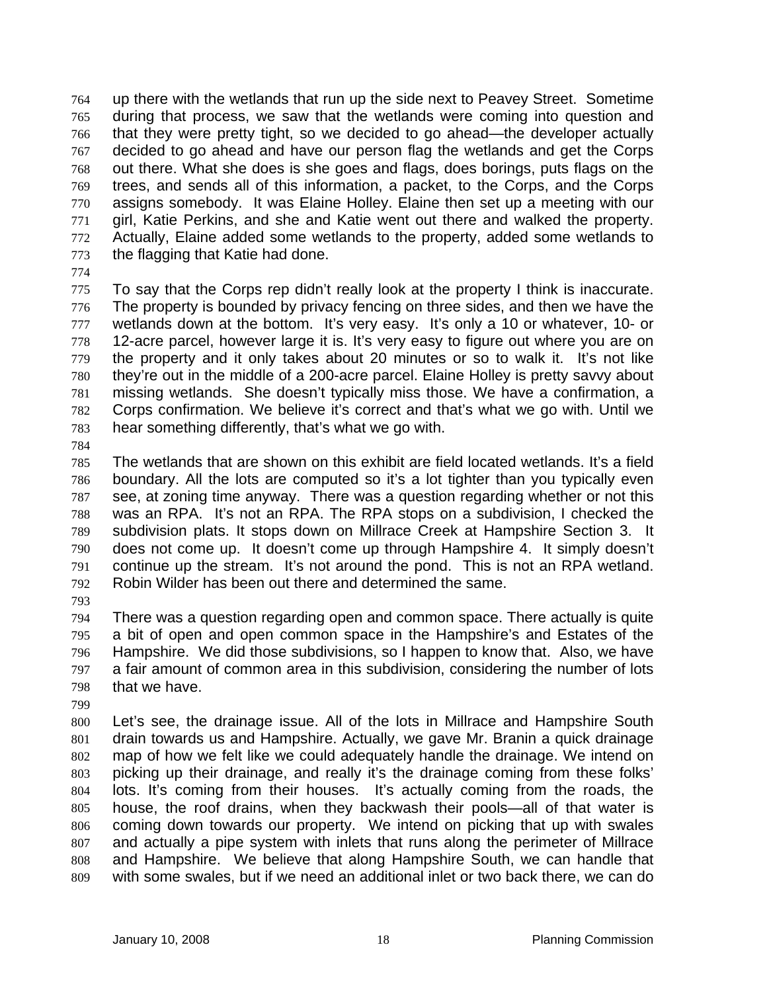up there with the wetlands that run up the side next to Peavey Street. Sometime during that process, we saw that the wetlands were coming into question and that they were pretty tight, so we decided to go ahead—the developer actually decided to go ahead and have our person flag the wetlands and get the Corps out there. What she does is she goes and flags, does borings, puts flags on the trees, and sends all of this information, a packet, to the Corps, and the Corps assigns somebody. It was Elaine Holley. Elaine then set up a meeting with our girl, Katie Perkins, and she and Katie went out there and walked the property. Actually, Elaine added some wetlands to the property, added some wetlands to the flagging that Katie had done. 764 765 766 767 768 769 770 771 772 773

774

775 776 777 778 779 780 781 782 783 To say that the Corps rep didn't really look at the property I think is inaccurate. The property is bounded by privacy fencing on three sides, and then we have the wetlands down at the bottom. It's very easy. It's only a 10 or whatever, 10- or 12-acre parcel, however large it is. It's very easy to figure out where you are on the property and it only takes about 20 minutes or so to walk it. It's not like they're out in the middle of a 200-acre parcel. Elaine Holley is pretty savvy about missing wetlands. She doesn't typically miss those. We have a confirmation, a Corps confirmation. We believe it's correct and that's what we go with. Until we hear something differently, that's what we go with.

784

785 786 787 788 789 790 791 792 The wetlands that are shown on this exhibit are field located wetlands. It's a field boundary. All the lots are computed so it's a lot tighter than you typically even see, at zoning time anyway. There was a question regarding whether or not this was an RPA. It's not an RPA. The RPA stops on a subdivision, I checked the subdivision plats. It stops down on Millrace Creek at Hampshire Section 3. It does not come up. It doesn't come up through Hampshire 4. It simply doesn't continue up the stream. It's not around the pond. This is not an RPA wetland. Robin Wilder has been out there and determined the same.

793

794 795 796 797 798 There was a question regarding open and common space. There actually is quite a bit of open and open common space in the Hampshire's and Estates of the Hampshire. We did those subdivisions, so I happen to know that. Also, we have a fair amount of common area in this subdivision, considering the number of lots that we have.

799

800 801 802 803 804 805 806 807 808 809 Let's see, the drainage issue. All of the lots in Millrace and Hampshire South drain towards us and Hampshire. Actually, we gave Mr. Branin a quick drainage map of how we felt like we could adequately handle the drainage. We intend on picking up their drainage, and really it's the drainage coming from these folks' lots. It's coming from their houses. It's actually coming from the roads, the house, the roof drains, when they backwash their pools—all of that water is coming down towards our property. We intend on picking that up with swales and actually a pipe system with inlets that runs along the perimeter of Millrace and Hampshire. We believe that along Hampshire South, we can handle that with some swales, but if we need an additional inlet or two back there, we can do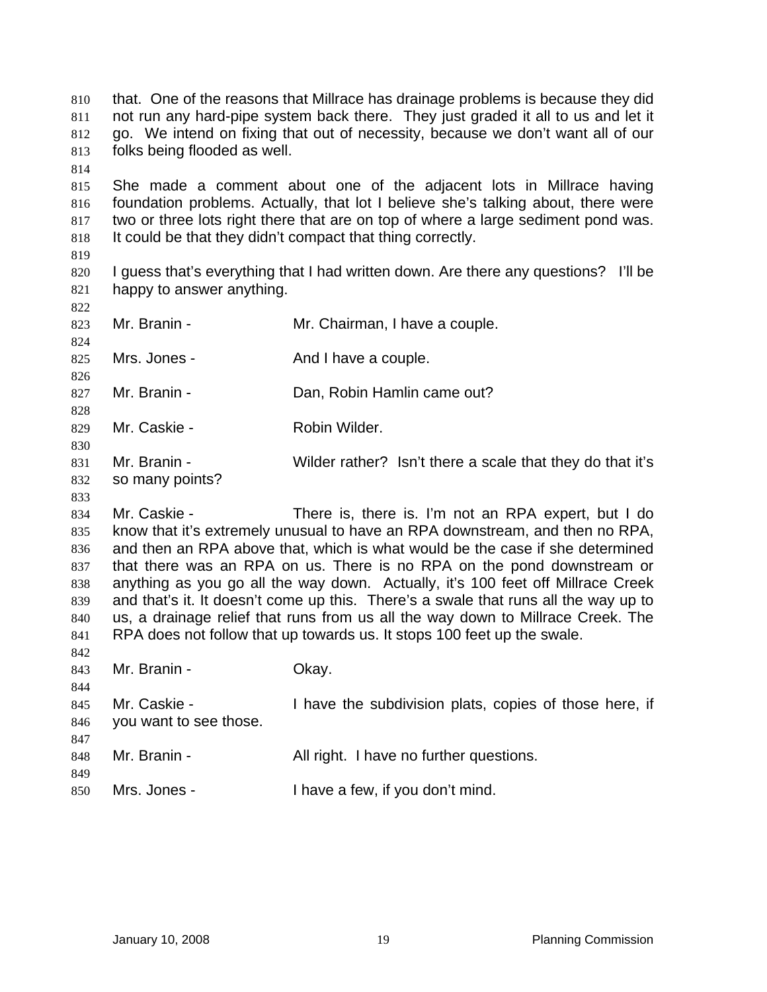| 810<br>811 | that. One of the reasons that Millrace has drainage problems is because they did<br>not run any hard-pipe system back there. They just graded it all to us and let it |                                                                                        |  |
|------------|-----------------------------------------------------------------------------------------------------------------------------------------------------------------------|----------------------------------------------------------------------------------------|--|
| 812        |                                                                                                                                                                       | go. We intend on fixing that out of necessity, because we don't want all of our        |  |
| 813        | folks being flooded as well.                                                                                                                                          |                                                                                        |  |
| 814        |                                                                                                                                                                       |                                                                                        |  |
| 815        |                                                                                                                                                                       | She made a comment about one of the adjacent lots in Millrace having                   |  |
| 816        |                                                                                                                                                                       | foundation problems. Actually, that lot I believe she's talking about, there were      |  |
| 817        |                                                                                                                                                                       | two or three lots right there that are on top of where a large sediment pond was.      |  |
| 818        |                                                                                                                                                                       | It could be that they didn't compact that thing correctly.                             |  |
| 819        |                                                                                                                                                                       |                                                                                        |  |
| 820        |                                                                                                                                                                       | I guess that's everything that I had written down. Are there any questions?<br>I'll be |  |
| 821        | happy to answer anything.                                                                                                                                             |                                                                                        |  |
| 822        |                                                                                                                                                                       |                                                                                        |  |
| 823        | Mr. Branin -                                                                                                                                                          | Mr. Chairman, I have a couple.                                                         |  |
| 824        |                                                                                                                                                                       |                                                                                        |  |
| 825        | Mrs. Jones -                                                                                                                                                          | And I have a couple.                                                                   |  |
| 826        |                                                                                                                                                                       |                                                                                        |  |
| 827        | Mr. Branin -                                                                                                                                                          | Dan, Robin Hamlin came out?                                                            |  |
| 828        |                                                                                                                                                                       |                                                                                        |  |
| 829        | Mr. Caskie -                                                                                                                                                          | Robin Wilder.                                                                          |  |
| 830        |                                                                                                                                                                       |                                                                                        |  |
| 831        | Mr. Branin -                                                                                                                                                          | Wilder rather? Isn't there a scale that they do that it's                              |  |
| 832        | so many points?                                                                                                                                                       |                                                                                        |  |
| 833        |                                                                                                                                                                       |                                                                                        |  |
| 834        | Mr. Caskie -                                                                                                                                                          | There is, there is. I'm not an RPA expert, but I do                                    |  |
| 835        |                                                                                                                                                                       | know that it's extremely unusual to have an RPA downstream, and then no RPA,           |  |
| 836        |                                                                                                                                                                       | and then an RPA above that, which is what would be the case if she determined          |  |
| 837        |                                                                                                                                                                       | that there was an RPA on us. There is no RPA on the pond downstream or                 |  |
| 838        |                                                                                                                                                                       | anything as you go all the way down. Actually, it's 100 feet off Millrace Creek        |  |
| 839        |                                                                                                                                                                       | and that's it. It doesn't come up this. There's a swale that runs all the way up to    |  |
| 840        |                                                                                                                                                                       | us, a drainage relief that runs from us all the way down to Millrace Creek. The        |  |
| 841        |                                                                                                                                                                       | RPA does not follow that up towards us. It stops 100 feet up the swale.                |  |
| 842        |                                                                                                                                                                       |                                                                                        |  |
| 843        | Mr. Branin -                                                                                                                                                          | Okay.                                                                                  |  |
| 844        |                                                                                                                                                                       |                                                                                        |  |
| 845        | Mr. Caskie -                                                                                                                                                          | I have the subdivision plats, copies of those here, if                                 |  |
| 846        | you want to see those.                                                                                                                                                |                                                                                        |  |
| 847        |                                                                                                                                                                       |                                                                                        |  |
| 848        | Mr. Branin -                                                                                                                                                          | All right. I have no further questions.                                                |  |
| 849        |                                                                                                                                                                       |                                                                                        |  |
| 850        | Mrs. Jones -                                                                                                                                                          | I have a few, if you don't mind.                                                       |  |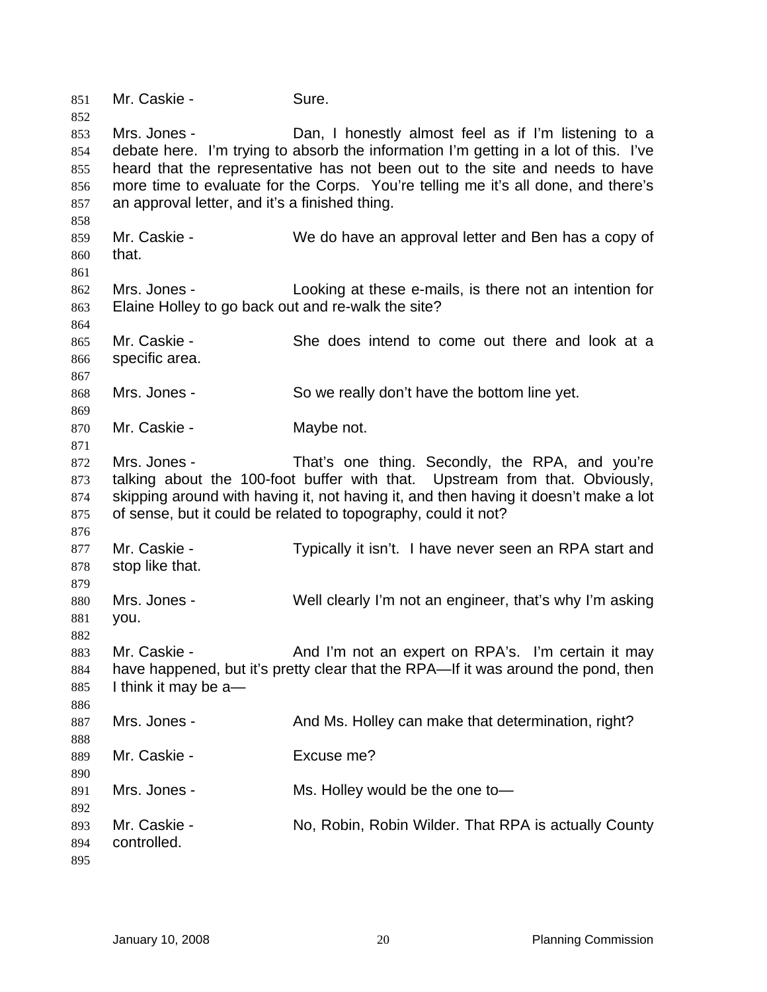851 Mr. Caskie - Sure. 852 853 854 855 856 857 858 859 860 861 862 863 864 865 866 867 868 869 870 871 872 873 874 875 876 877 878 879 880 881 882 883 884 885 886 887 888 889 890 891 892 893 894 895 Mrs. Jones - Dan, I honestly almost feel as if I'm listening to a debate here. I'm trying to absorb the information I'm getting in a lot of this. I've heard that the representative has not been out to the site and needs to have more time to evaluate for the Corps. You're telling me it's all done, and there's an approval letter, and it's a finished thing. Mr. Caskie - We do have an approval letter and Ben has a copy of that. Mrs. Jones - Looking at these e-mails, is there not an intention for Elaine Holley to go back out and re-walk the site? Mr. Caskie - She does intend to come out there and look at a specific area. Mrs. Jones - So we really don't have the bottom line yet. Mr. Caskie - Maybe not. Mrs. Jones - That's one thing. Secondly, the RPA, and you're talking about the 100-foot buffer with that. Upstream from that. Obviously, skipping around with having it, not having it, and then having it doesn't make a lot of sense, but it could be related to topography, could it not? Mr. Caskie - Typically it isn't. I have never seen an RPA start and stop like that. Mrs. Jones - Well clearly I'm not an engineer, that's why I'm asking you. Mr. Caskie - **And I'm not an expert on RPA's.** I'm certain it may have happened, but it's pretty clear that the RPA—If it was around the pond, then I think it may be a— Mrs. Jones - The Mrs. Holley can make that determination, right? Mr. Caskie - Excuse me? Mrs. Jones - Ms. Holley would be the one to-Mr. Caskie - No, Robin, Robin Wilder. That RPA is actually County controlled.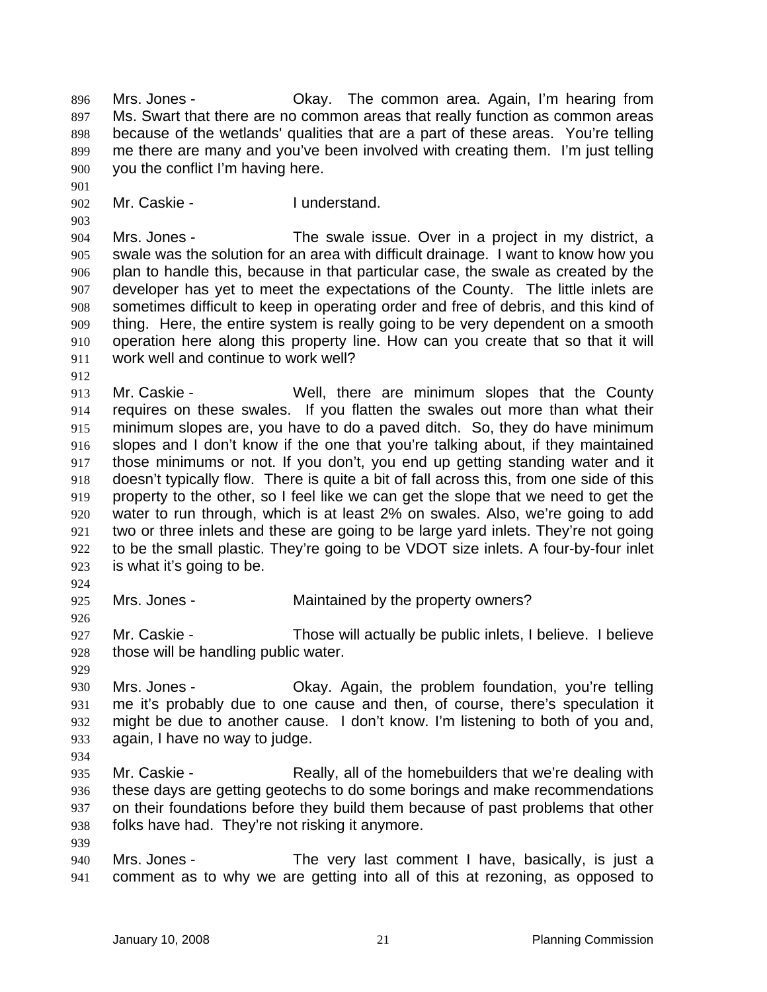Mrs. Jones - Okay. The common area. Again, I'm hearing from Ms. Swart that there are no common areas that really function as common areas because of the wetlands' qualities that are a part of these areas. You're telling me there are many and you've been involved with creating them. I'm just telling you the conflict I'm having here. 896 897 898 899 900

902 Mr. Caskie - **I** understand.

904 905 906 907 908 909 910 911 Mrs. Jones - The swale issue. Over in a project in my district, a swale was the solution for an area with difficult drainage. I want to know how you plan to handle this, because in that particular case, the swale as created by the developer has yet to meet the expectations of the County. The little inlets are sometimes difficult to keep in operating order and free of debris, and this kind of thing. Here, the entire system is really going to be very dependent on a smooth operation here along this property line. How can you create that so that it will work well and continue to work well?

912

901

903

913 914 915 916 917 918 919 920 921 922 923 Mr. Caskie - Well, there are minimum slopes that the County requires on these swales. If you flatten the swales out more than what their minimum slopes are, you have to do a paved ditch. So, they do have minimum slopes and I don't know if the one that you're talking about, if they maintained those minimums or not. If you don't, you end up getting standing water and it doesn't typically flow. There is quite a bit of fall across this, from one side of this property to the other, so I feel like we can get the slope that we need to get the water to run through, which is at least 2% on swales. Also, we're going to add two or three inlets and these are going to be large yard inlets. They're not going to be the small plastic. They're going to be VDOT size inlets. A four-by-four inlet is what it's going to be.

924

926

925 Mrs. Jones - **Maintained by the property owners?** 

927 928 Mr. Caskie - Those will actually be public inlets, I believe. I believe those will be handling public water.

929

930 931 932 933 Mrs. Jones - Ckay. Again, the problem foundation, you're telling me it's probably due to one cause and then, of course, there's speculation it might be due to another cause. I don't know. I'm listening to both of you and, again, I have no way to judge.

- 934
- 935 936 937 938 939 Mr. Caskie - The Really, all of the homebuilders that we're dealing with these days are getting geotechs to do some borings and make recommendations on their foundations before they build them because of past problems that other folks have had. They're not risking it anymore.
- 940 941 Mrs. Jones - The very last comment I have, basically, is just a comment as to why we are getting into all of this at rezoning, as opposed to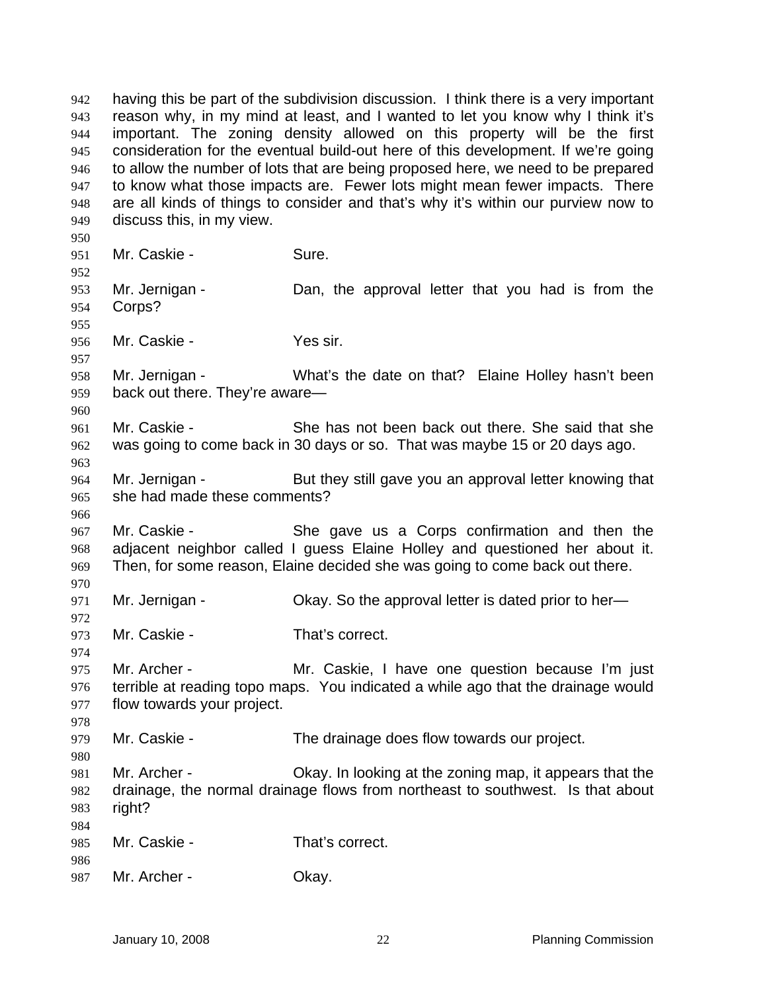having this be part of the subdivision discussion. I think there is a very important reason why, in my mind at least, and I wanted to let you know why I think it's important. The zoning density allowed on this property will be the first consideration for the eventual build-out here of this development. If we're going to allow the number of lots that are being proposed here, we need to be prepared to know what those impacts are. Fewer lots might mean fewer impacts. There are all kinds of things to consider and that's why it's within our purview now to discuss this, in my view. 942 943 944 945 946 947 948 949 950 951 952 953 954 955 956 957 958 959 960 961 962 963 964 965 966 967 968 969 970 971 972 973 974 975 976 977 978 979 980 981 982 983 984 985 986 987 Mr. Caskie - Sure. Mr. Jernigan - Dan, the approval letter that you had is from the Corps? Mr. Caskie - Yes sir. Mr. Jernigan - What's the date on that? Elaine Holley hasn't been back out there. They're aware— Mr. Caskie - She has not been back out there. She said that she was going to come back in 30 days or so. That was maybe 15 or 20 days ago. Mr. Jernigan - But they still gave you an approval letter knowing that she had made these comments? Mr. Caskie - She gave us a Corps confirmation and then the adjacent neighbor called I guess Elaine Holley and questioned her about it. Then, for some reason, Elaine decided she was going to come back out there. Mr. Jernigan - Ckay. So the approval letter is dated prior to her-Mr. Caskie - That's correct. Mr. Archer - The Mr. Caskie, I have one question because I'm just terrible at reading topo maps. You indicated a while ago that the drainage would flow towards your project. Mr. Caskie - The drainage does flow towards our project. Mr. Archer - Okay. In looking at the zoning map, it appears that the drainage, the normal drainage flows from northeast to southwest. Is that about right? Mr. Caskie - That's correct. Mr. Archer - Ckay.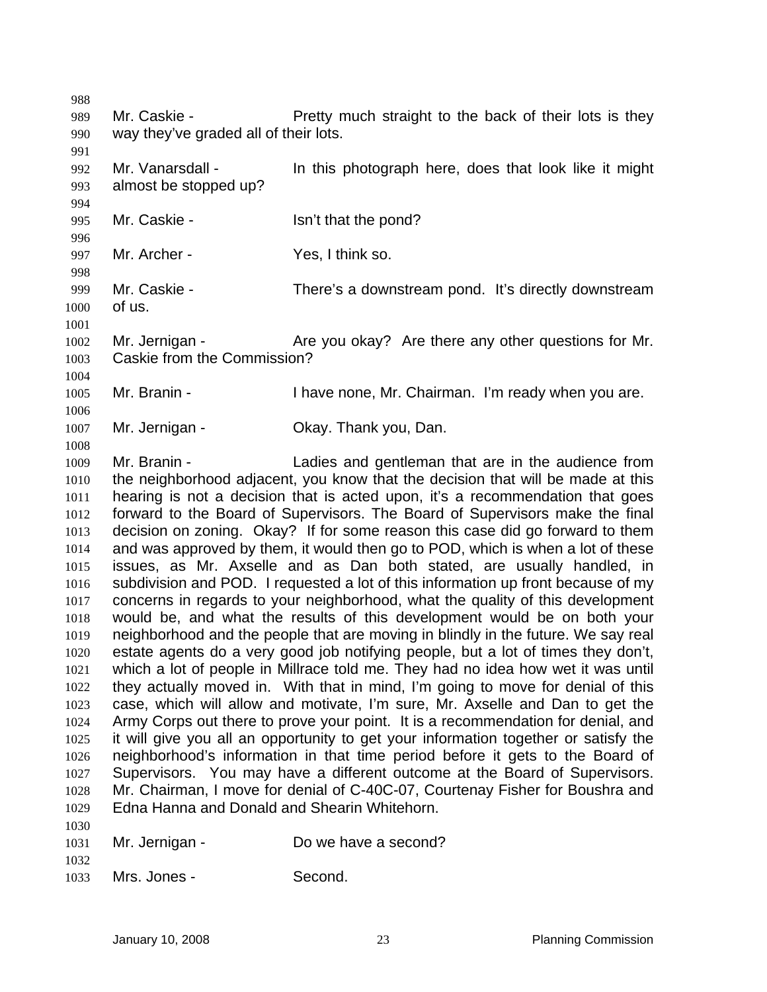988

991

994

996

1001

1004

1006

1008

989 990 Mr. Caskie - **Pretty much straight to the back of their lots is they** way they've graded all of their lots.

992 993 Mr. Vanarsdall - In this photograph here, does that look like it might almost be stopped up?

995 Mr. Caskie - The Solid School Sn't that the pond?

997 998 Mr. Archer - Yes, I think so.

999 1000 Mr. Caskie - There's a downstream pond. It's directly downstream of us.

1002 1003 Mr. Jernigan - The Are you okay? Are there any other questions for Mr. Caskie from the Commission?

1005 Mr. Branin - Thave none, Mr. Chairman. I'm ready when you are.

1007 Mr. Jernigan - Ckay. Thank you, Dan.

1009 1010 1011 1012 1013 1014 1015 1016 1017 1018 1019 1020 1021 1022 1023 1024 1025 1026 1027 1028 1029 Mr. Branin - The Ladies and gentleman that are in the audience from the neighborhood adjacent, you know that the decision that will be made at this hearing is not a decision that is acted upon, it's a recommendation that goes forward to the Board of Supervisors. The Board of Supervisors make the final decision on zoning. Okay? If for some reason this case did go forward to them and was approved by them, it would then go to POD, which is when a lot of these issues, as Mr. Axselle and as Dan both stated, are usually handled, in subdivision and POD. I requested a lot of this information up front because of my concerns in regards to your neighborhood, what the quality of this development would be, and what the results of this development would be on both your neighborhood and the people that are moving in blindly in the future. We say real estate agents do a very good job notifying people, but a lot of times they don't, which a lot of people in Millrace told me. They had no idea how wet it was until they actually moved in. With that in mind, I'm going to move for denial of this case, which will allow and motivate, I'm sure, Mr. Axselle and Dan to get the Army Corps out there to prove your point. It is a recommendation for denial, and it will give you all an opportunity to get your information together or satisfy the neighborhood's information in that time period before it gets to the Board of Supervisors. You may have a different outcome at the Board of Supervisors. Mr. Chairman, I move for denial of C-40C-07, Courtenay Fisher for Boushra and Edna Hanna and Donald and Shearin Whitehorn.

| 1031 | Mr. Jernigan - | Do we have a second? |
|------|----------------|----------------------|
|      |                |                      |

1032

1030

1033 Mrs. Jones - Second.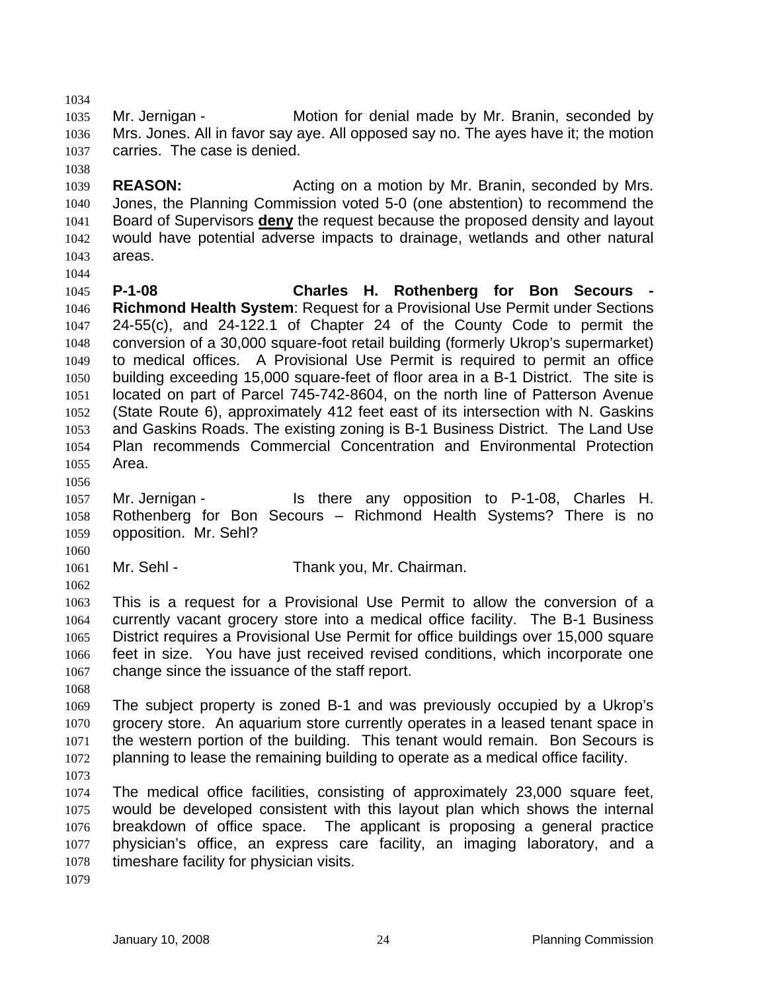1035 1036 1037 Mr. Jernigan - **Motion for denial made by Mr. Branin**, seconded by Mrs. Jones. All in favor say aye. All opposed say no. The ayes have it; the motion carries. The case is denied.

1039 1040 **REASON:** Acting on a motion by Mr. Branin, seconded by Mrs. Jones, the Planning Commission voted 5-0 (one abstention) to recommend the Board of Supervisors **deny** the request because the proposed density and layout would have potential adverse impacts to drainage, wetlands and other natural areas. 1041 1042 1043

1045 1046 1047 1048 1049 1050 1051 1052 1053 1054 1055 **P-1-08 Charles H. Rothenberg for Bon Secours - Richmond Health System**: Request for a Provisional Use Permit under Sections 24-55(c), and 24-122.1 of Chapter 24 of the County Code to permit the conversion of a 30,000 square-foot retail building (formerly Ukrop's supermarket) to medical offices. A Provisional Use Permit is required to permit an office building exceeding 15,000 square-feet of floor area in a B-1 District. The site is located on part of Parcel 745-742-8604, on the north line of Patterson Avenue (State Route 6), approximately 412 feet east of its intersection with N. Gaskins and Gaskins Roads. The existing zoning is B-1 Business District. The Land Use Plan recommends Commercial Concentration and Environmental Protection Area.

1056

1060

1062

1034

1038

1044

1057 1058 1059 Mr. Jernigan - Is there any opposition to P-1-08, Charles H. Rothenberg for Bon Secours – Richmond Health Systems? There is no opposition. Mr. Sehl?

1061 Mr. Sehl - Thank you, Mr. Chairman.

1063 1064 1065 1066 1067 This is a request for a Provisional Use Permit to allow the conversion of a currently vacant grocery store into a medical office facility. The B-1 Business District requires a Provisional Use Permit for office buildings over 15,000 square feet in size. You have just received revised conditions, which incorporate one change since the issuance of the staff report.

1068

1069 1070 1071 1072 The subject property is zoned B-1 and was previously occupied by a Ukrop's grocery store. An aquarium store currently operates in a leased tenant space in the western portion of the building. This tenant would remain. Bon Secours is planning to lease the remaining building to operate as a medical office facility.

1073

1074 1075 1076 1077 1078 The medical office facilities, consisting of approximately 23,000 square feet, would be developed consistent with this layout plan which shows the internal breakdown of office space. The applicant is proposing a general practice physician's office, an express care facility, an imaging laboratory, and a timeshare facility for physician visits.

1079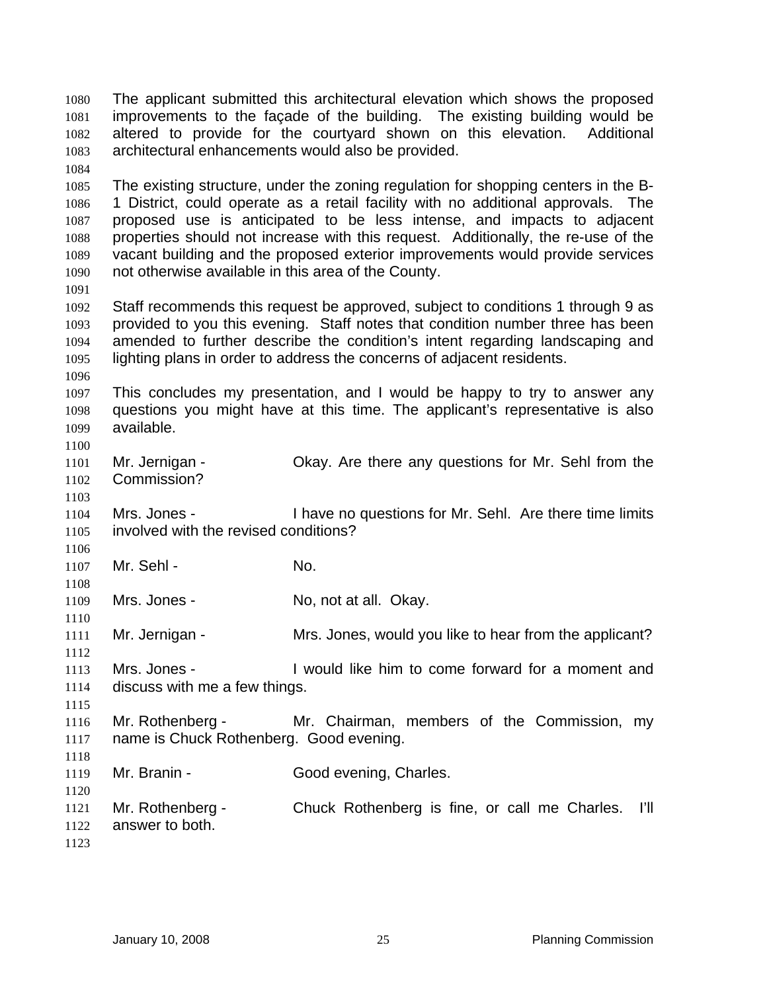The applicant submitted this architectural elevation which shows the proposed improvements to the façade of the building. The existing building would be altered to provide for the courtyard shown on this elevation. Additional architectural enhancements would also be provided. 1080 1081 1082 1083 1084 1085 1086 1087 1088 1089 1090 1091 1092 1093 1094 1095 1096 1097 1098 1099 1100 1101 1102 1103 1104 1105 1106 1107 1108 1109 1110 1111 1112 1113 1114 1115 1116 1117 1118 1119 1120 1121 1122 1123 The existing structure, under the zoning regulation for shopping centers in the B-1 District, could operate as a retail facility with no additional approvals. The proposed use is anticipated to be less intense, and impacts to adjacent properties should not increase with this request. Additionally, the re-use of the vacant building and the proposed exterior improvements would provide services not otherwise available in this area of the County. Staff recommends this request be approved, subject to conditions 1 through 9 as provided to you this evening. Staff notes that condition number three has been amended to further describe the condition's intent regarding landscaping and lighting plans in order to address the concerns of adjacent residents. This concludes my presentation, and I would be happy to try to answer any questions you might have at this time. The applicant's representative is also available. Mr. Jernigan - Ckay. Are there any questions for Mr. Sehl from the Commission? Mrs. Jones - I have no questions for Mr. Sehl. Are there time limits involved with the revised conditions? Mr. Sehl - No. Mrs. Jones - No, not at all. Okay. Mr. Jernigan - The Mrs. Jones, would you like to hear from the applicant? Mrs. Jones - I would like him to come forward for a moment and discuss with me a few things. Mr. Rothenberg - Mr. Chairman, members of the Commission, my name is Chuck Rothenberg. Good evening. Mr. Branin - Good evening, Charles. Mr. Rothenberg - Chuck Rothenberg is fine, or call me Charles. I'll answer to both.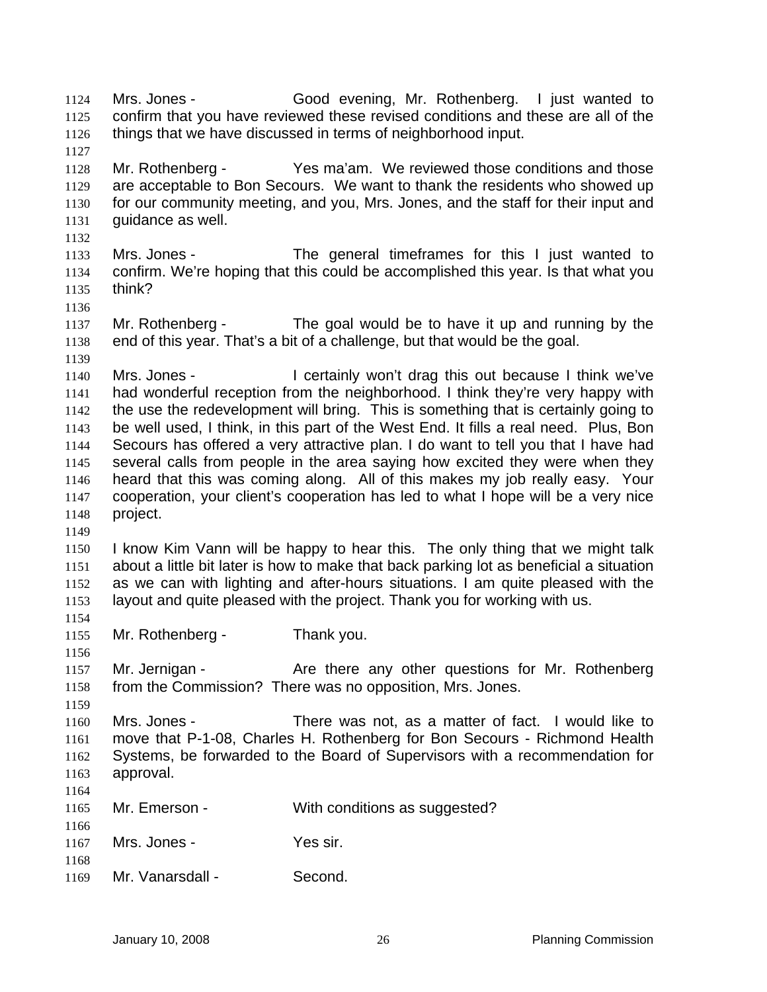Mrs. Jones - Good evening, Mr. Rothenberg. I just wanted to confirm that you have reviewed these revised conditions and these are all of the things that we have discussed in terms of neighborhood input. 1124 1125 1126

1128 1129 1130 1131 Mr. Rothenberg - Yes ma'am. We reviewed those conditions and those are acceptable to Bon Secours. We want to thank the residents who showed up for our community meeting, and you, Mrs. Jones, and the staff for their input and guidance as well.

- 1133 1134 1135 Mrs. Jones - The general timeframes for this I just wanted to confirm. We're hoping that this could be accomplished this year. Is that what you think?
- 1136 1137 1138 Mr. Rothenberg - The goal would be to have it up and running by the end of this year. That's a bit of a challenge, but that would be the goal.

1140 1141 1142 1143 1144 1145 1146 1147 1148 Mrs. Jones - I certainly won't drag this out because I think we've had wonderful reception from the neighborhood. I think they're very happy with the use the redevelopment will bring. This is something that is certainly going to be well used, I think, in this part of the West End. It fills a real need. Plus, Bon Secours has offered a very attractive plan. I do want to tell you that I have had several calls from people in the area saying how excited they were when they heard that this was coming along. All of this makes my job really easy. Your cooperation, your client's cooperation has led to what I hope will be a very nice project.

1150 1151 1152 1153 I know Kim Vann will be happy to hear this. The only thing that we might talk about a little bit later is how to make that back parking lot as beneficial a situation as we can with lighting and after-hours situations. I am quite pleased with the layout and quite pleased with the project. Thank you for working with us.

1155 Mr. Rothenberg - Thank you.

1127

1132

1139

1149

1154

1156

1159

1157 1158 Mr. Jernigan - The Are there any other questions for Mr. Rothenberg from the Commission? There was no opposition, Mrs. Jones.

1160 1161 1162 1163 Mrs. Jones - There was not, as a matter of fact. I would like to move that P-1-08, Charles H. Rothenberg for Bon Secours - Richmond Health Systems, be forwarded to the Board of Supervisors with a recommendation for approval.

1164 1165 1166 1167 1168 1169 Mr. Emerson - With conditions as suggested? Mrs. Jones - Yes sir. Mr. Vanarsdall - Second.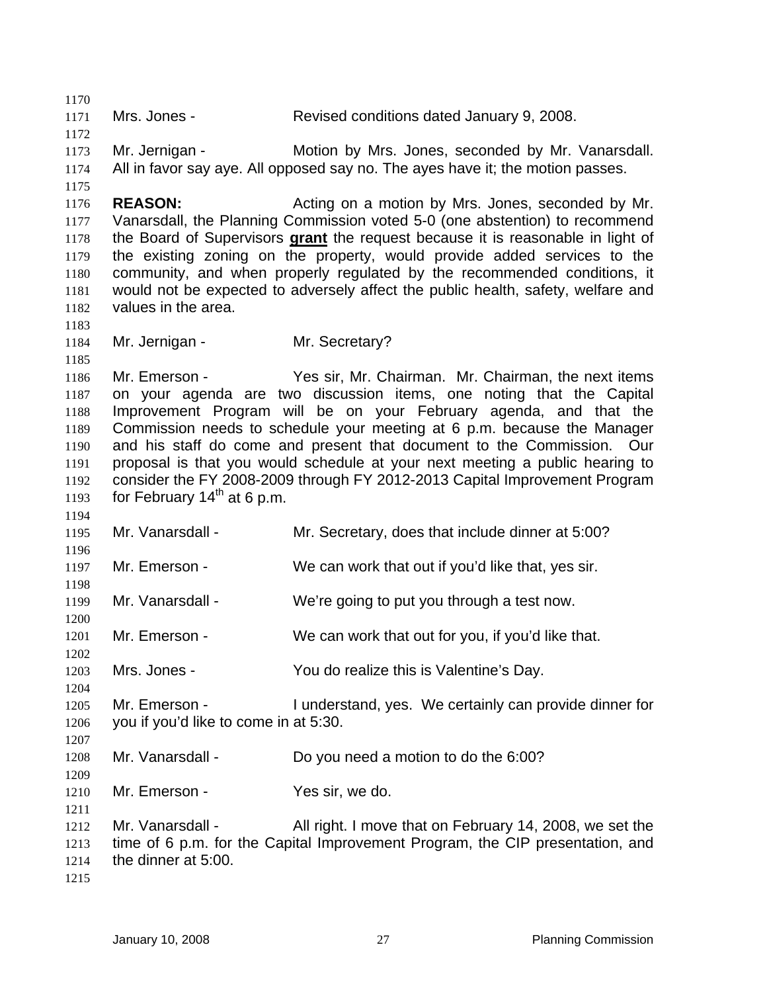1170 1171 1172 1173 1174 1175 1176 1177 Mrs. Jones - Revised conditions dated January 9, 2008. Mr. Jernigan - Motion by Mrs. Jones, seconded by Mr. Vanarsdall. All in favor say aye. All opposed say no. The ayes have it; the motion passes. **REASON: Acting on a motion by Mrs. Jones, seconded by Mr. REASON:** Vanarsdall, the Planning Commission voted 5-0 (one abstention) to recommend the Board of Supervisors **grant** the request because it is reasonable in light of the existing zoning on the property, would provide added services to the community, and when properly regulated by the recommended conditions, it would not be expected to adversely affect the public health, safety, welfare and values in the area. 1178 1179 1180 1181 1182 1183 1184 1185 1186 1187 1188 1189 1190 1191 1192 1193 1194 1195 1196 1197 1198 1199 1200 1201 1202 1203 1204 1205 1206 1207 1208 1209 1210 1211 1212 1213 1214 1215 Mr. Jernigan - Mr. Secretary? Mr. Emerson - Yes sir, Mr. Chairman. Mr. Chairman, the next items on your agenda are two discussion items, one noting that the Capital Improvement Program will be on your February agenda, and that the Commission needs to schedule your meeting at 6 p.m. because the Manager and his staff do come and present that document to the Commission. Our proposal is that you would schedule at your next meeting a public hearing to consider the FY 2008-2009 through FY 2012-2013 Capital Improvement Program for February  $14<sup>th</sup>$  at 6 p.m. Mr. Vanarsdall - Mr. Secretary, does that include dinner at 5:00? Mr. Emerson - We can work that out if you'd like that, yes sir. Mr. Vanarsdall - We're going to put you through a test now. Mr. Emerson - We can work that out for you, if you'd like that. Mrs. Jones - You do realize this is Valentine's Day. Mr. Emerson - Tunderstand, yes. We certainly can provide dinner for you if you'd like to come in at 5:30. Mr. Vanarsdall - Do you need a motion to do the 6:00? Mr. Emerson - Yes sir, we do. Mr. Vanarsdall - All right. I move that on February 14, 2008, we set the time of 6 p.m. for the Capital Improvement Program, the CIP presentation, and the dinner at 5:00.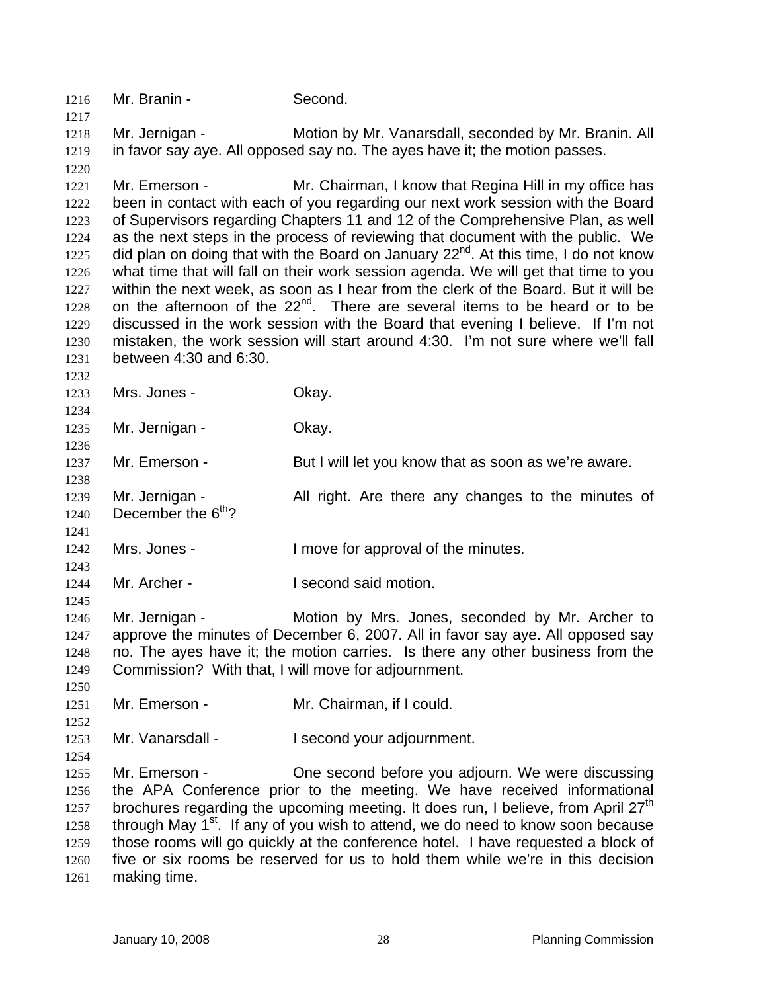1216 Mr. Branin - Second. 1217 1218 1219 1220 1221 1222 1223 1224 1225 1226 1227 1228 1229 1230 1231 1232 1233 1234 1235 1236 1237 1238 1239 1240 1241 1242 1243 1244 1245 1246 1247 1248 1249 1250 1251 1252 1253 1254 1255 1256 1257 1258 1259 1260 1261 Mr. Jernigan - Motion by Mr. Vanarsdall, seconded by Mr. Branin. All in favor say aye. All opposed say no. The ayes have it; the motion passes. Mr. Emerson - Mr. Chairman, I know that Regina Hill in my office has been in contact with each of you regarding our next work session with the Board of Supervisors regarding Chapters 11 and 12 of the Comprehensive Plan, as well as the next steps in the process of reviewing that document with the public. We did plan on doing that with the Board on January  $22^{nd}$ . At this time, I do not know what time that will fall on their work session agenda. We will get that time to you within the next week, as soon as I hear from the clerk of the Board. But it will be on the afternoon of the 22<sup>nd</sup>. There are several items to be heard or to be discussed in the work session with the Board that evening I believe. If I'm not mistaken, the work session will start around 4:30. I'm not sure where we'll fall between 4:30 and 6:30. Mrs. Jones - Chay. Mr. Jernigan - **Okay.** Mr. Emerson - But I will let you know that as soon as we're aware. Mr. Jernigan - All right. Are there any changes to the minutes of December the  $6<sup>th</sup>$ ? Mrs. Jones - The Music Contract Contract I move for approval of the minutes. Mr. Archer - **I** second said motion. Mr. Jernigan - Motion by Mrs. Jones, seconded by Mr. Archer to approve the minutes of December 6, 2007. All in favor say aye. All opposed say no. The ayes have it; the motion carries. Is there any other business from the Commission? With that, I will move for adjournment. Mr. Emerson - Mr. Chairman, if I could. Mr. Vanarsdall - I second your adjournment. Mr. Emerson - One second before you adjourn. We were discussing the APA Conference prior to the meeting. We have received informational brochures regarding the upcoming meeting. It does run, I believe, from April 27<sup>th</sup> through May  $1<sup>st</sup>$ . If any of you wish to attend, we do need to know soon because those rooms will go quickly at the conference hotel. I have requested a block of five or six rooms be reserved for us to hold them while we're in this decision making time.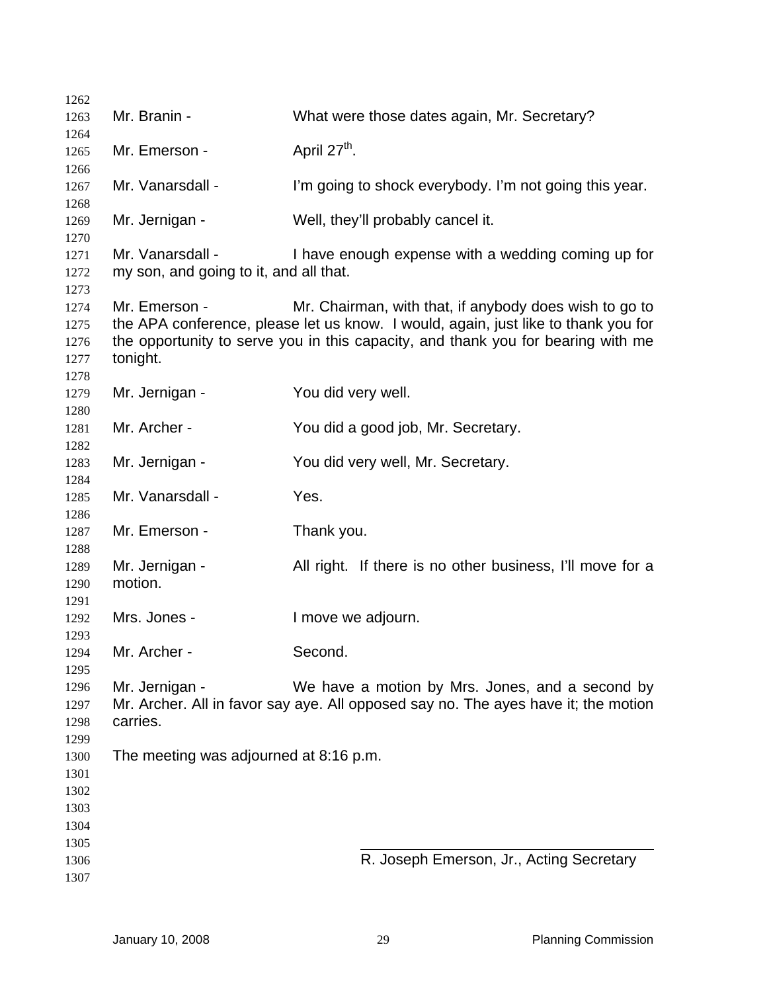| 1262                                                 |                                                            |                                                                                                                                                                                                                                  |
|------------------------------------------------------|------------------------------------------------------------|----------------------------------------------------------------------------------------------------------------------------------------------------------------------------------------------------------------------------------|
| 1263                                                 | Mr. Branin -                                               | What were those dates again, Mr. Secretary?                                                                                                                                                                                      |
| 1264<br>1265<br>1266                                 | Mr. Emerson -                                              | April 27 <sup>th</sup> .                                                                                                                                                                                                         |
| 1267<br>1268                                         | Mr. Vanarsdall -                                           | I'm going to shock everybody. I'm not going this year.                                                                                                                                                                           |
| 1269<br>1270                                         | Mr. Jernigan -                                             | Well, they'll probably cancel it.                                                                                                                                                                                                |
| 1271<br>1272<br>1273                                 | Mr. Vanarsdall -<br>my son, and going to it, and all that. | I have enough expense with a wedding coming up for                                                                                                                                                                               |
| 1274<br>1275<br>1276<br>1277<br>1278                 | Mr. Emerson -<br>tonight.                                  | Mr. Chairman, with that, if anybody does wish to go to<br>the APA conference, please let us know. I would, again, just like to thank you for<br>the opportunity to serve you in this capacity, and thank you for bearing with me |
| 1279<br>1280                                         | Mr. Jernigan -                                             | You did very well.                                                                                                                                                                                                               |
| 1281<br>1282                                         | Mr. Archer -                                               | You did a good job, Mr. Secretary.                                                                                                                                                                                               |
| 1283<br>1284                                         | Mr. Jernigan -                                             | You did very well, Mr. Secretary.                                                                                                                                                                                                |
| 1285<br>1286                                         | Mr. Vanarsdall -                                           | Yes.                                                                                                                                                                                                                             |
| 1287<br>1288                                         | Mr. Emerson -                                              | Thank you.                                                                                                                                                                                                                       |
| 1289<br>1290<br>1291                                 | Mr. Jernigan -<br>motion.                                  | All right. If there is no other business, I'll move for a                                                                                                                                                                        |
| 1292<br>1293                                         | Mrs. Jones -                                               | I move we adjourn.                                                                                                                                                                                                               |
| 1294<br>1295                                         | Mr. Archer -                                               | Second.                                                                                                                                                                                                                          |
| 1296<br>1297<br>1298                                 | Mr. Jernigan -<br>carries.                                 | We have a motion by Mrs. Jones, and a second by<br>Mr. Archer. All in favor say aye. All opposed say no. The ayes have it; the motion                                                                                            |
| 1299<br>1300<br>1301<br>1302<br>1303<br>1304<br>1305 | The meeting was adjourned at 8:16 p.m.                     |                                                                                                                                                                                                                                  |
| 1306<br>1307                                         |                                                            | R. Joseph Emerson, Jr., Acting Secretary                                                                                                                                                                                         |